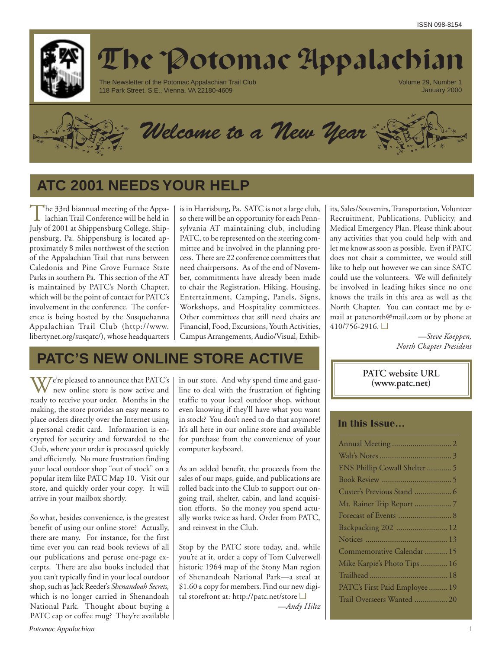

# The Potomac Appalachian

The Newsletter of the Potomac Appalachian Trail Club 118 Park Street. S.E., Vienna, VA 22180-4609

Volume 29, Number 1 January 2000



*Welcome to a New Year*

## **ATC 2001 NEEDS YOUR HELP**

The 33rd biannual meeting of the Appa-<br>
lachian Trail Conference will be held in July of 2001 at Shippensburg College, Shippensburg, Pa. Shippensburg is located approximately 8 miles northwest of the section of the Appalachian Trail that runs between Caledonia and Pine Grove Furnace State Parks in southern Pa. This section of the AT is maintained by PATC's North Chapter, which will be the point of contact for PATC's involvement in the conference. The conference is being hosted by the Susquehanna Appalachian Trail Club (http://www. libertynet.org/susqatc/), whose headquarters is in Harrisburg, Pa. SATC is not a large club, so there will be an opportunity for each Pennsylvania AT maintaining club, including PATC, to be represented on the steering committee and be involved in the planning process. There are 22 conference committees that need chairpersons. As of the end of November, commitments have already been made to chair the Registration, Hiking, Housing, Entertainment, Camping, Panels, Signs, Workshops, and Hospitality committees. Other committees that still need chairs are Financial, Food, Excursions, Youth Activities, Campus Arrangements, Audio/Visual, Exhib-

## **PATC'S NEW ONLINE STORE ACTIVE**

V/e're pleased to announce that PATC's new online store is now active and ready to receive your order. Months in the making, the store provides an easy means to place orders directly over the Internet using a personal credit card. Information is encrypted for security and forwarded to the Club, where your order is processed quickly and efficiently. No more frustration finding your local outdoor shop "out of stock" on a popular item like PATC Map 10. Visit our store, and quickly order your copy. It will arrive in your mailbox shortly.

So what, besides convenience, is the greatest benefit of using our online store? Actually, there are many. For instance, for the first time ever you can read book reviews of all our publications and peruse one-page excerpts. There are also books included that you can't typically find in your local outdoor shop, such as Jack Reeder's *Shenandoah Secrets,* which is no longer carried in Shenandoah National Park. Thought about buying a PATC cap or coffee mug? They're available in our store. And why spend time and gasoline to deal with the frustration of fighting traffic to your local outdoor shop, without even knowing if they'll have what you want in stock? You don't need to do that anymore! It's all here in our online store and available for purchase from the convenience of your computer keyboard.

As an added benefit, the proceeds from the sales of our maps, guide, and publications are rolled back into the Club to support our ongoing trail, shelter, cabin, and land acquisition efforts. So the money you spend actually works twice as hard. Order from PATC, and reinvest in the Club.

Stop by the PATC store today, and, while you're at it, order a copy of Tom Culverwell historic 1964 map of the Stony Man region of Shenandoah National Park—a steal at \$1.60 a copy for members. Find our new digital storefront at: http://patc.net/store ❑ *—Andy Hiltz*

its, Sales/Souvenirs, Transportation, Volunteer Recruitment, Publications, Publicity, and Medical Emergency Plan. Please think about any activities that you could help with and let me know as soon as possible. Even if PATC does not chair a committee, we would still like to help out however we can since SATC could use the volunteers. We will definitely be involved in leading hikes since no one knows the trails in this area as well as the North Chapter. You can contact me by email at patcnorth@mail.com or by phone at 410/756-2916. ❑

> *—Steve Koeppen, North Chapter President*

**PATC website URL (www.patc.net)**

### **In this Issue…**

| ENS Phillip Cowall Shelter  5  |
|--------------------------------|
|                                |
| Custer's Previous Stand  6     |
| Mt. Rainer Trip Report 7       |
|                                |
| Backpacking 202  12            |
|                                |
| Commemorative Calendar  15     |
| Mike Karpie's Photo Tips  16   |
|                                |
| PATC's First Paid Employee  19 |
| Trail Overseers Wanted  20     |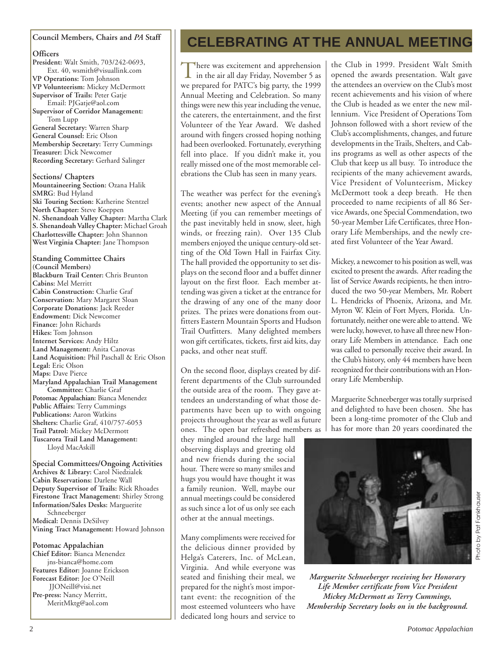### **Council Members, Chairs and** *PA* **Staff**

### **Officers**

**President:** Walt Smith, 703/242-0693, Ext. 40, wsmith@visuallink.com **VP Operations:** Tom Johnson **VP Volunteerism:** Mickey McDermott **Supervisor of Trails:** Peter Gatje Email: PJGatje@aol.com **Supervisor of Corridor Management:** Tom Lupp **General Secretary:** Warren Sharp **General Counsel:** Eric Olson **Membership Secretary:** Terry Cummings **Treasurer:** Dick Newcomer **Recording Secretary:** Gerhard Salinger **Sections/ Chapters**

**Mountaineering Section:** Ozana Halik **SMRG**: Bud Hyland **Ski Touring Section:** Katherine Stentzel **North Chapter:** Steve Koeppen **N. Shenandoah Valley Chapter:** Martha Clark **S. Shenandoah Valley Chapter:** Michael Groah **Charlottesville Chapter:** John Shannon **West Virginia Chapter:** Jane Thompson

**Standing Committee Chairs (Council Members) Blackburn Trail Center:** Chris Brunton **Cabins:** Mel Merritt **Cabin Construction:** Charlie Graf **Conservation:** Mary Margaret Sloan **Corporate Donations:** Jack Reeder **Endowment:** Dick Newcomer **Finance:** John Richards **Hikes:** Tom Johnson **Internet Services:** Andy Hiltz **Land Management:** Anita Canovas **Land Acquisition:** Phil Paschall & Eric Olson **Legal:** Eric Olson **Maps:** Dave Pierce **Maryland Appalachian Trail Management Committee:** Charlie Graf **Potomac Appalachian:** Bianca Menendez **Public Affairs:** Terry Cummings **Publications:** Aaron Watkins **Shelters:** Charlie Graf, 410/757-6053 **Trail Patrol:** Mickey McDermott **Tuscarora Trail Land Management:** Lloyd MacAskill

**Special Committees/Ongoing Activities Archives & Library:** Carol Niedzialek **Cabin Reservations:** Darlene Wall **Deputy Supervisor of Trails:** Rick Rhoades **Firestone Tract Management:** Shirley Strong **Information/Sales Desks:** Marguerite Schneeberger **Medical:** Dennis DeSilvey **Vining Tract Management:** Howard Johnson

### **Potomac Appalachian**

**Chief Editor:** Bianca Menendez jns-bianca@home.com **Features Editor:** Joanne Erickson **Forecast Editor:** Joe O'Neill JJONeill@visi.net **Pre-press:** Nancy Merritt, MeritMktg@aol.com

## **CELEBRATING AT THE ANNUAL MEETING**

There was excitement and apprehension<br>in the air all day Friday, November 5 as we prepared for PATC's big party, the 1999 Annual Meeting and Celebration. So many things were new this year including the venue, the caterers, the entertainment, and the first Volunteer of the Year Award. We dashed around with fingers crossed hoping nothing had been overlooked. Fortunately, everything fell into place. If you didn't make it, you really missed one of the most memorable celebrations the Club has seen in many years.

The weather was perfect for the evening's events; another new aspect of the Annual Meeting (if you can remember meetings of the past inevitably held in snow, sleet, high winds, or freezing rain). Over 135 Club members enjoyed the unique century-old setting of the Old Town Hall in Fairfax City. The hall provided the opportunity to set displays on the second floor and a buffet dinner layout on the first floor. Each member attending was given a ticket at the entrance for the drawing of any one of the many door prizes. The prizes were donations from outfitters Eastern Mountain Sports and Hudson Trail Outfitters. Many delighted members won gift certificates, tickets, first aid kits, day packs, and other neat stuff.

On the second floor, displays created by different departments of the Club surrounded the outside area of the room. They gave attendees an understanding of what those departments have been up to with ongoing projects throughout the year as well as future ones. The open bar refreshed members as

they mingled around the large hall observing displays and greeting old and new friends during the social hour. There were so many smiles and hugs you would have thought it was a family reunion. Well, maybe our annual meetings could be considered as such since a lot of us only see each other at the annual meetings.

Many compliments were received for the delicious dinner provided by Helga's Caterers, Inc. of McLean, Virginia. And while everyone was seated and finishing their meal, we prepared for the night's most important event: the recognition of the most esteemed volunteers who have dedicated long hours and service to

the Club in 1999. President Walt Smith opened the awards presentation. Walt gave the attendees an overview on the Club's most recent achievements and his vision of where the Club is headed as we enter the new millennium. Vice President of Operations Tom Johnson followed with a short review of the Club's accomplishments, changes, and future developments in the Trails, Shelters, and Cabins programs as well as other aspects of the Club that keep us all busy. To introduce the recipients of the many achievement awards, Vice President of Volunteerism, Mickey McDermott took a deep breath. He then proceeded to name recipients of all 86 Service Awards, one Special Commendation, two 50-year Member Life Certificates, three Honorary Life Memberships, and the newly created first Volunteer of the Year Award.

Mickey, a newcomer to his position as well, was excited to present the awards. After reading the list of Service Awards recipients, he then introduced the two 50-year Members, Mr. Robert L. Hendricks of Phoenix, Arizona, and Mr. Myron W. Klein of Fort Myers, Florida. Unfortunately, neither one were able to attend. We were lucky, however, to have all three new Honorary Life Members in attendance. Each one was called to personally receive their award. In the Club's history, only 44 members have been recognized for their contributions with an Honorary Life Membership.

Marguerite Schneeberger was totally surprised and delighted to have been chosen. She has been a long-time promoter of the Club and has for more than 20 years coordinated the



*Marguerite Schneeberger receiving her Honorary Life Member certificate from Vice President Mickey McDermott as Terry Cummings, Membership Secretary looks on in the background.*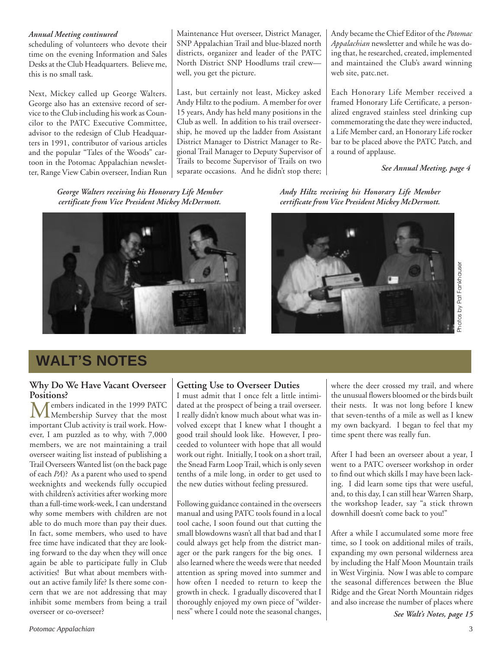### *Annual Meeting continured*

scheduling of volunteers who devote their time on the evening Information and Sales Desks at the Club Headquarters. Believe me, this is no small task.

Next, Mickey called up George Walters. George also has an extensive record of service to the Club including his work as Councilor to the PATC Executive Committee, advisor to the redesign of Club Headquarters in 1991, contributor of various articles and the popular "Tales of the Woods" cartoon in the Potomac Appalachian newsletter, Range View Cabin overseer, Indian Run Maintenance Hut overseer, District Manager, SNP Appalachian Trail and blue-blazed north districts, organizer and leader of the PATC North District SNP Hoodlums trail crew well, you get the picture.

Last, but certainly not least, Mickey asked Andy Hiltz to the podium. A member for over 15 years, Andy has held many positions in the Club as well. In addition to his trail overseership, he moved up the ladder from Assistant District Manager to District Manager to Regional Trail Manager to Deputy Supervisor of Trails to become Supervisor of Trails on two separate occasions. And he didn't stop there; Andy became the Chief Editor of the *Potomac Appalachian* newsletter and while he was doing that, he researched, created, implemented and maintained the Club's award winning web site, patc.net.

Each Honorary Life Member received a framed Honorary Life Certificate, a personalized engraved stainless steel drinking cup commemorating the date they were inducted, a Life Member card, an Honorary Life rocker bar to be placed above the PATC Patch, and a round of applause.

*See Annual Meeting, page 4*

*George Walters receiving his Honorary Life Member certificate from Vice President Mickey McDermott.*



*Andy Hiltz receiving his Honorary Life Member certificate from Vice President Mickey McDermott.*



## **WALT'S NOTES**

## **Why Do We Have Vacant Overseer**

**Positions?**<br>Members indicated in the 1999 PATC Members indicated in the 1999 PATC Membership Survey that the most important Club activity is trail work. However, I am puzzled as to why, with 7,000 members, we are not maintaining a trail overseer waiting list instead of publishing a Trail Overseers Wanted list (on the back page of each *PA*)? As a parent who used to spend weeknights and weekends fully occupied with children's activities after working more than a full-time work-week, I can understand why some members with children are not able to do much more than pay their dues. In fact, some members, who used to have free time have indicated that they are looking forward to the day when they will once again be able to participate fully in Club activities! But what about members without an active family life? Is there some concern that we are not addressing that may inhibit some members from being a trail overseer or co-overseer?

### **Getting Use to Overseer Duties**

I must admit that I once felt a little intimidated at the prospect of being a trail overseer. I really didn't know much about what was involved except that I knew what I thought a good trail should look like. However, I proceeded to volunteer with hope that all would work out right. Initially, I took on a short trail, the Snead Farm Loop Trail, which is only seven tenths of a mile long, in order to get used to the new duties without feeling pressured.

Following guidance contained in the overseers manual and using PATC tools found in a local tool cache, I soon found out that cutting the small blowdowns wasn't all that bad and that I could always get help from the district manager or the park rangers for the big ones. I also learned where the weeds were that needed attention as spring moved into summer and how often I needed to return to keep the growth in check. I gradually discovered that I thoroughly enjoyed my own piece of "wilderness" where I could note the seasonal changes, where the deer crossed my trail, and where the unusual flowers bloomed or the birds built their nests. It was not long before I knew that seven-tenths of a mile as well as I knew my own backyard. I began to feel that my time spent there was really fun.

After I had been an overseer about a year, I went to a PATC overseer workshop in order to find out which skills I may have been lacking. I did learn some tips that were useful, and, to this day, I can still hear Warren Sharp, the workshop leader, say "a stick thrown downhill doesn't come back to you!"

After a while I accumulated some more free time, so I took on additional miles of trails, expanding my own personal wilderness area by including the Half Moon Mountain trails in West Virginia. Now I was able to compare the seasonal differences between the Blue Ridge and the Great North Mountain ridges and also increase the number of places where

*See Walt's Notes, page 15*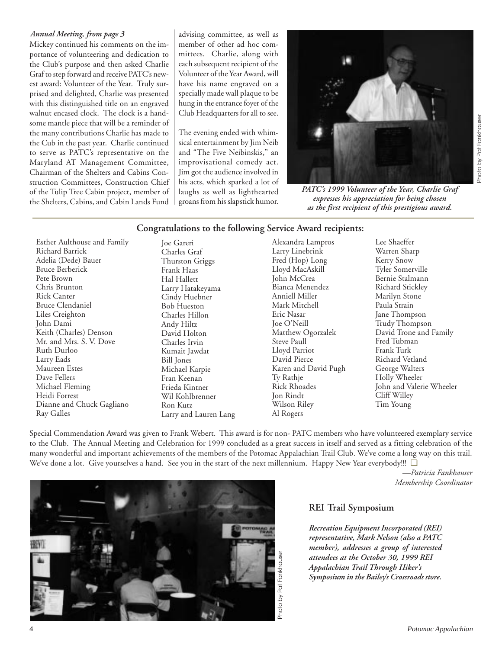### *Annual Meeting, from page 3*

Mickey continued his comments on the importance of volunteering and dedication to the Club's purpose and then asked Charlie Graf to step forward and receive PATC's newest award: Volunteer of the Year. Truly surprised and delighted, Charlie was presented with this distinguished title on an engraved walnut encased clock. The clock is a handsome mantle piece that will be a reminder of the many contributions Charlie has made to the Cub in the past year. Charlie continued to serve as PATC's representative on the Maryland AT Management Committee, Chairman of the Shelters and Cabins Construction Committees, Construction Chief of the Tulip Tree Cabin project, member of the Shelters, Cabins, and Cabin Lands Fund advising committee, as well as member of other ad hoc committees. Charlie, along with each subsequent recipient of the Volunteer of the Year Award, will have his name engraved on a specially made wall plaque to be hung in the entrance foyer of the Club Headquarters for all to see.

The evening ended with whimsical entertainment by Jim Neib and "The Five Neibinskis," an improvisational comedy act. Jim got the audience involved in his acts, which sparked a lot of laughs as well as lighthearted groans from his slapstick humor.



*PATC's 1999 Volunteer of the Year, Charlie Graf expresses his appreciation for being chosen as the first recipient of this prestigious award.*

### **Congratulations to the following Service Award recipients:**

Esther Aulthouse and Family Richard Barrick Adelia (Dede) Bauer Bruce Berberick Pete Brown Chris Brunton Rick Canter Bruce Clendaniel Liles Creighton John Dami Keith (Charles) Denson Mr. and Mrs. S. V. Dove Ruth Durloo Larry Eads Maureen Estes Dave Fellers Michael Fleming Heidi Forrest Dianne and Chuck Gagliano Ray Galles

Charles Graf Thurston Griggs Frank Haas Hal Hallett Larry Hatakeyama Cindy Huebner Bob Hueston Charles Hillon Andy Hiltz David Holton Charles Irvin Kumait Jawdat Bill Jones Michael Karpie Fran Keenan Frieda Kintner Wil Kohlbrenner Ron Kutz Larry and Lauren Lang

Joe Gareri

Alexandra Lampros Larry Linebrink Fred (Hop) Long Lloyd MacAskill John McCrea Bianca Menendez Anniell Miller Mark Mitchell Eric Nasar Joe O'Neill Matthew Ogorzalek Steve Paull Lloyd Parriot David Pierce Karen and David Pugh Ty Rathje Rick Rhoades Jon Rindt Wilson Riley Al Rogers

Lee Shaeffer Warren Sharp Kerry Snow Tyler Somerville Bernie Stalmann Richard Stickley Marilyn Stone Paula Strain Jane Thompson Trudy Thompson David Trone and Family Fred Tubman Frank Turk Richard Vetland George Walters Holly Wheeler John and Valerie Wheeler Cliff Willey Tim Young

Photo by Pat Fankhauser Photo by Pat Fankhauser

Special Commendation Award was given to Frank Webert. This award is for non- PATC members who have volunteered exemplary service to the Club. The Annual Meeting and Celebration for 1999 concluded as a great success in itself and served as a fitting celebration of the many wonderful and important achievements of the members of the Potomac Appalachian Trail Club. We've come a long way on this trail. We've done a lot. Give yourselves a hand. See you in the start of the next millennium. Happy New Year everybody!!! ❑

> *—Patricia Fankhauser Membership Coordinator*



*Recreation Equipment Incorporated (REI) representative, Mark Nelson (also a PATC member), addresses a group of interested attendees at the October 30, 1999 REI Appalachian Trail Through Hiker's Symposium in the Bailey's Crossroads store.*

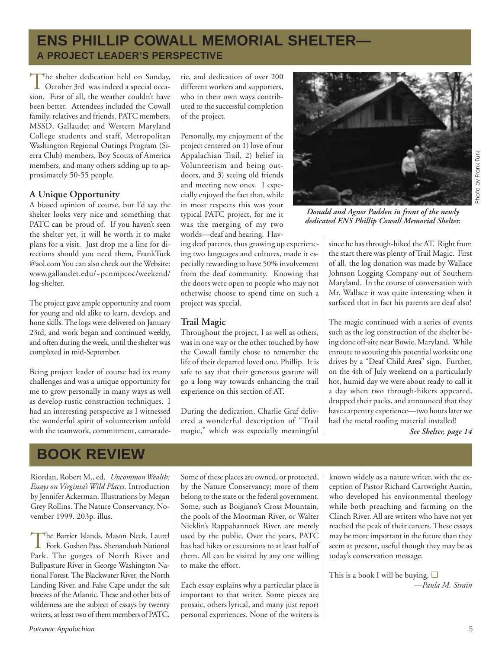## **ENS PHILLIP COWALL MEMORIAL SHELTER— A PROJECT LEADER'S PERSPECTIVE**

The shelter dedication held on Sunday,<br>October 3rd was indeed a special occasion. First of all, the weather couldn't have been better. Attendees included the Cowall family, relatives and friends, PATC members, MSSD, Gallaudet and Western Maryland College students and staff, Metropolitan Washington Regional Outings Program (Sierra Club) members, Boy Scouts of America members, and many others adding up to approximately 50-55 people.

### **A Unique Opportunity**

A biased opinion of course, but I'd say the shelter looks very nice and something that PATC can be proud of. If you haven't seen the shelter yet, it will be worth it to make plans for a visit. Just drop me a line for directions should you need them, FrankTurk @aol.com You can also check out the Website: www.gallaudet.edu/~pcnmpcoc/weekend/ log-shelter.

The project gave ample opportunity and room for young and old alike to learn, develop, and hone skills. The logs were delivered on January 23rd, and work began and continued weekly, and often during the week, until the shelter was completed in mid-September.

Being project leader of course had its many challenges and was a unique opportunity for me to grow personally in many ways as well as develop rustic construction techniques. I had an interesting perspective as I witnessed the wonderful spirit of volunteerism unfold with the teamwork, commitment, camaraderie, and dedication of over 200 different workers and supporters, who in their own ways contributed to the successful completion of the project.

Personally, my enjoyment of the project centered on 1) love of our Appalachian Trail, 2) belief in Volunteerism and being outdoors, and 3) seeing old friends and meeting new ones. I especially enjoyed the fact that, while in most respects this was your typical PATC project, for me it was the merging of my two worlds—deaf and hearing. Hav-

ing deaf parents, thus growing up experiencing two languages and cultures, made it especially rewarding to have 50% involvement from the deaf community. Knowing that the doors were open to people who may not otherwise choose to spend time on such a project was special.

### **Trail Magic**

Throughout the project, I as well as others, was in one way or the other touched by how the Cowall family chose to remember the life of their departed loved one, Phillip. It is safe to say that their generous gesture will go a long way towards enhancing the trail experience on this section of AT.

During the dedication, Charlie Graf delivered a wonderful description of "Trail magic," which was especially meaningful



*Donald and Agnes Padden in front of the newly dedicated ENS Phillip Cowall Memorial Shelter.*

since he has through-hiked the AT. Right from the start there was plenty of Trail Magic. First of all, the log donation was made by Wallace Johnson Logging Company out of Southern Maryland. In the course of conversation with Mr. Wallace it was quite interesting when it surfaced that in fact his parents are deaf also!

The magic continued with a series of events such as the log construction of the shelter being done off-site near Bowie, Maryland. While enroute to scouting this potential worksite one drives by a "Deaf Child Area" sign. Further, on the 4th of July weekend on a particularly hot, humid day we were about ready to call it a day when two through-hikers appeared, dropped their packs, and announced that they have carpentry experience—two hours later we had the metal roofing material installed!

*See Shelter, page 14*

## **BOOK REVIEW**

Riordan, Robert M., ed. *Uncommon Wealth: Essays on Virginia's Wild Places.* Introduction by Jennifer Ackerman. Illustrations by Megan Grey Rollins. The Nature Conservancy, November 1999. 203p. illus.

The Barrier Islands. Mason Neck. Laurel<br>Fork. Goshen Pass. Shenandoah National Park. The gorges of North River and Bullpasture River in George Washington National Forest. The Blackwater River, the North Landing River, and False Cape under the salt breezes of the Atlantic. These and other bits of wilderness are the subject of essays by twenty writers, at least two of them members of PATC. Some of these places are owned, or protected, by the Nature Conservancy; more of them belong to the state or the federal government. Some, such as Boigiano's Cross Mountain, the pools of the Moorman River, or Walter Nicklin's Rappahannock River, are merely used by the public. Over the years, PATC has had hikes or excursions to at least half of them. All can be visited by any one willing to make the effort.

Each essay explains why a particular place is important to that writer. Some pieces are prosaic, others lyrical, and many just report personal experiences. None of the writers is known widely as a nature writer, with the exception of Pastor Richard Cartwright Austin, who developed his environmental theology while both preaching and farming on the Clinch River. All are writers who have not yet reached the peak of their careers. These essays may be more important in the future than they seem at present, useful though they may be as today's conservation message.

This is a book I will be buying. ❑ *—Paula M. Strain*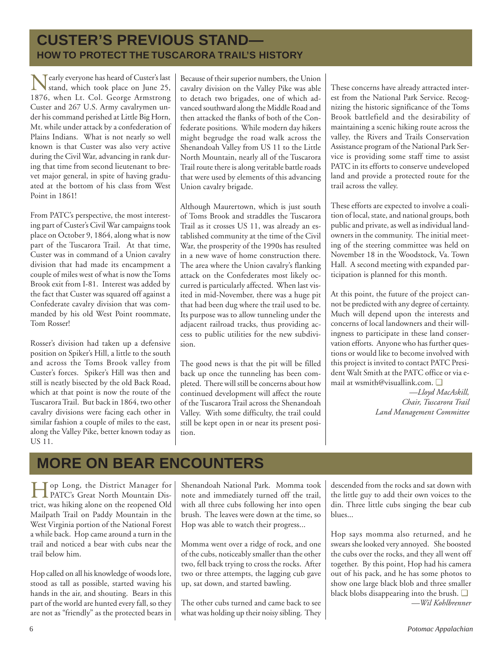## **CUSTER'S PREVIOUS STAND— HOW TO PROTECT THE TUSCARORA TRAIL'S HISTORY**

Nearly everyone has heard of Custer's last<br>stand, which took place on June 25, 1876, when Lt. Col. George Armstrong Custer and 267 U.S. Army cavalrymen under his command perished at Little Big Horn, Mt. while under attack by a confederation of Plains Indians. What is not nearly so well known is that Custer was also very active during the Civil War, advancing in rank during that time from second lieutenant to brevet major general, in spite of having graduated at the bottom of his class from West Point in 1861!

From PATC's perspective, the most interesting part of Custer's Civil War campaigns took place on October 9, 1864, along what is now part of the Tuscarora Trail. At that time, Custer was in command of a Union cavalry division that had made its encampment a couple of miles west of what is now the Toms Brook exit from I-81. Interest was added by the fact that Custer was squared off against a Confederate cavalry division that was commanded by his old West Point roommate, Tom Rosser!

Rosser's division had taken up a defensive position on Spiker's Hill, a little to the south and across the Toms Brook valley from Custer's forces. Spiker's Hill was then and still is neatly bisected by the old Back Road, which at that point is now the route of the Tuscarora Trail. But back in 1864, two other cavalry divisions were facing each other in similar fashion a couple of miles to the east, along the Valley Pike, better known today as US 11.

Because of their superior numbers, the Union cavalry division on the Valley Pike was able to detach two brigades, one of which advanced southward along the Middle Road and then attacked the flanks of both of the Confederate positions. While modern day hikers might begrudge the road walk across the Shenandoah Valley from US 11 to the Little North Mountain, nearly all of the Tuscarora Trail route there is along veritable battle roads that were used by elements of this advancing Union cavalry brigade.

Although Maurertown, which is just south of Toms Brook and straddles the Tuscarora Trail as it crosses US 11, was already an established community at the time of the Civil War, the prosperity of the 1990s has resulted in a new wave of home construction there. The area where the Union cavalry's flanking attack on the Confederates most likely occurred is particularly affected. When last visited in mid-November, there was a huge pit that had been dug where the trail used to be. Its purpose was to allow tunneling under the adjacent railroad tracks, thus providing access to public utilities for the new subdivision.

The good news is that the pit will be filled back up once the tunneling has been completed. There will still be concerns about how continued development will affect the route of the Tuscarora Trail across the Shenandoah Valley. With some difficulty, the trail could still be kept open in or near its present position.

These concerns have already attracted interest from the National Park Service. Recognizing the historic significance of the Toms Brook battlefield and the desirability of maintaining a scenic hiking route across the valley, the Rivers and Trails Conservation Assistance program of the National Park Service is providing some staff time to assist PATC in its efforts to conserve undeveloped land and provide a protected route for the trail across the valley.

These efforts are expected to involve a coalition of local, state, and national groups, both public and private, as well as individual landowners in the community. The initial meeting of the steering committee was held on November 18 in the Woodstock, Va. Town Hall. A second meeting with expanded participation is planned for this month.

At this point, the future of the project cannot be predicted with any degree of certainty. Much will depend upon the interests and concerns of local landowners and their willingness to participate in these land conservation efforts. Anyone who has further questions or would like to become involved with this project is invited to contact PATC President Walt Smith at the PATC office or via email at wsmith@visuallink.com. ❑

> *—Lloyd MacAskill, Chair, Tuscarora Trail Land Management Committee*

## **MORE ON BEAR ENCOUNTERS**

Hop Long, the District Manager for PATC's Great North Mountain District, was hiking alone on the reopened Old Mailpath Trail on Paddy Mountain in the West Virginia portion of the National Forest a while back. Hop came around a turn in the trail and noticed a bear with cubs near the trail below him.

Hop called on all his knowledge of woods lore, stood as tall as possible, started waving his hands in the air, and shouting. Bears in this part of the world are hunted every fall, so they are not as "friendly" as the protected bears in Shenandoah National Park. Momma took note and immediately turned off the trail, with all three cubs following her into open brush. The leaves were down at the time, so Hop was able to watch their progress...

Momma went over a ridge of rock, and one of the cubs, noticeably smaller than the other two, fell back trying to cross the rocks. After two or three attempts, the lagging cub gave up, sat down, and started bawling.

The other cubs turned and came back to see what was holding up their noisy sibling. They

descended from the rocks and sat down with the little guy to add their own voices to the din. Three little cubs singing the bear cub blues...

Hop says momma also returned, and he swears she looked very annoyed. She boosted the cubs over the rocks, and they all went off together. By this point, Hop had his camera out of his pack, and he has some photos to show one large black blob and three smaller black blobs disappearing into the brush. ❑ *—Wil Kohlbrenner*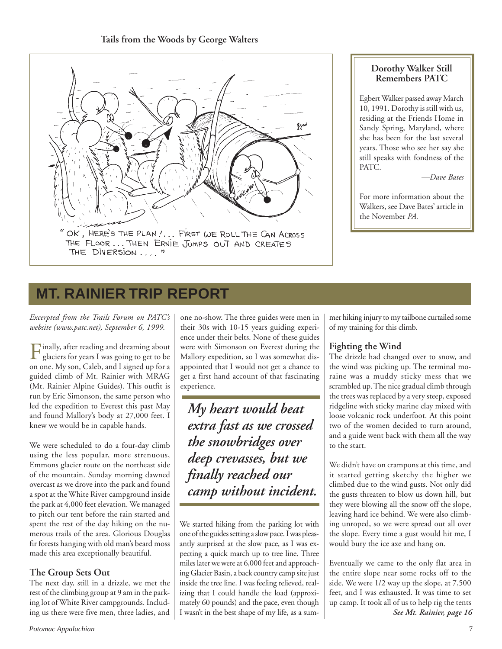### **Tails from the Woods by George Walters**



### **Dorothy Walker Still Remembers PATC**

Egbert Walker passed away March 10, 1991. Dorothy is still with us, residing at the Friends Home in Sandy Spring, Maryland, where she has been for the last several years. Those who see her say she still speaks with fondness of the PATC.

*—Dave Bates*

For more information about the Walkers, see Dave Bates' article in the November *PA.*

## **MT. RAINIER TRIP REPORT**

*Excerpted from the Trails Forum on PATC's website (www.patc.net), September 6, 1999.*

Finally, after reading and dreaming about<br>glaciers for years I was going to get to be on one. My son, Caleb, and I signed up for a guided climb of Mt. Rainier with MRAG (Mt. Rainier Alpine Guides). This outfit is run by Eric Simonson, the same person who led the expedition to Everest this past May and found Mallory's body at 27,000 feet. I knew we would be in capable hands.

We were scheduled to do a four-day climb using the less popular, more strenuous, Emmons glacier route on the northeast side of the mountain. Sunday morning dawned overcast as we drove into the park and found a spot at the White River campground inside the park at 4,000 feet elevation. We managed to pitch our tent before the rain started and spent the rest of the day hiking on the numerous trails of the area. Glorious Douglas fir forests hanging with old man's beard moss made this area exceptionally beautiful.

### **The Group Sets Out**

The next day, still in a drizzle, we met the rest of the climbing group at 9 am in the parking lot of White River campgrounds. Including us there were five men, three ladies, and

one no-show. The three guides were men in their 30s with 10-15 years guiding experience under their belts. None of these guides were with Simonson on Everest during the Mallory expedition, so I was somewhat disappointed that I would not get a chance to get a first hand account of that fascinating experience.

*My heart would beat extra fast as we crossed the snowbridges over deep crevasses, but we finally reached our camp without incident.*

We started hiking from the parking lot with one of the guides setting a slow pace. I was pleasantly surprised at the slow pace, as I was expecting a quick march up to tree line. Three miles later we were at 6,000 feet and approaching Glacier Basin, a back country camp site just inside the tree line. I was feeling relieved, realizing that I could handle the load (approximately 60 pounds) and the pace, even though I wasn't in the best shape of my life, as a summer hiking injury to my tailbone curtailed some of my training for this climb.

### **Fighting the Wind**

The drizzle had changed over to snow, and the wind was picking up. The terminal moraine was a muddy sticky mess that we scrambled up. The nice gradual climb through the trees was replaced by a very steep, exposed ridgeline with sticky marine clay mixed with loose volcanic rock underfoot. At this point two of the women decided to turn around, and a guide went back with them all the way to the start.

We didn't have on crampons at this time, and it started getting sketchy the higher we climbed due to the wind gusts. Not only did the gusts threaten to blow us down hill, but they were blowing all the snow off the slope, leaving hard ice behind. We were also climbing unroped, so we were spread out all over the slope. Every time a gust would hit me, I would bury the ice axe and hang on.

Eventually we came to the only flat area in the entire slope near some rocks off to the side. We were 1/2 way up the slope, at 7,500 feet, and I was exhausted. It was time to set up camp. It took all of us to help rig the tents *See Mt. Rainier, page 16*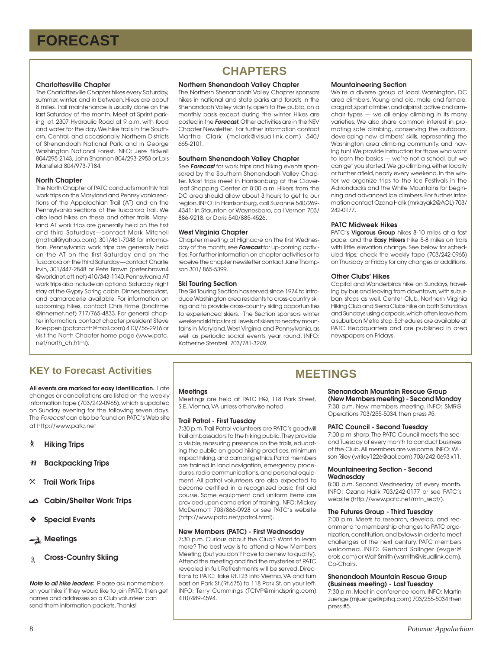### **Charlottesville Chapter**

The Charlottesville Chapter hikes every Saturday, summer, winter, and in between. Hikes are about 8 miles. Trail maintenance is usually done on the last Saturday of the month. Meet at Sprint parking lot, 2307 Hydraulic Road at 9 a.m. with food and water for the day. We hike trails in the Southern, Central, and occasionally Northern Districts of Shenandoah National Park, and in George Washington National Forest. INFO: Jere Bidwell 804/295-2143, John Shannon 804/293-2953 or Lois Mansfield 804/973-7184.

### **North Chapter**

The North Chapter of PATC conducts monthly trail work trips on the Maryland and Pennsylvania sections of the Appalachian Trail (AT) and on the Pennsylvania sections of the Tuscarora Trail. We also lead hikes on these and other trails. Maryland AT work trips are generally held on the first and third Saturdays—contact Mark Mitchell (mdtrail@yahoo.com), 301/461-7048 for information. Pennsylvania work trips are generally held on the AT on the first Saturday and on the Tuscarora on the third Saturday—contact Charlie Irvin, 301/447-2848 or Pete Brown (peter.brown4 @worldnet.att.net) 410/343-1140. Pennsylvania AT work trips also include an optional Saturday night stay at the Gypsy Spring cabin. Dinner, breakfast, and camaraderie available. For information on upcoming hikes, contact Chris Firme (bncfirme @innernet.net) 717/765-4833. For general chapter information, contact chapter president Steve Koeppen (patcnorth@mail.com) 410/756-2916 or visit the North Chapter home page (www.patc. net/north\_ch.html).

## **CHAPTERS**

### **Northern Shenandoah Valley Chapter**

The Northern Shenandoah Valley Chapter sponsors hikes in national and state parks and forests in the Shenandoah Valley vicinity, open to the public, on a monthly basis except during the winter. Hikes are posted in the **Forecast.** Other activities are in the NSV Chapter Newsletter. For further information contact Martha Clark (mclark@visuallink.com) 540/ 665-2101.

### **Southern Shenandoah Valley Chapter**

See **Forecast** for work trips and hiking events sponsored by the Southern Shenandoah Valley Chapter. Most trips meet in Harrisonburg at the Cloverleaf Shopping Center at 8:00 a.m. Hikers from the DC area should allow about 3 hours to get to our region. INFO: in Harrisonburg, call Suzanne 540/269- 4341; in Staunton or Waynesboro, call Vernon 703/ 886-9218, or Doris 540/885-4526.

### **West Virginia Chapter**

Chapter meeting at Highacre on the first Wednesday of the month; see **Forecast** for up-coming activities. For further information on chapter activities or to receive the chapter newsletter contact Jane Thompson 301/ 865-5399.

### **Ski Touring Section**

The Ski Touring Section has served since 1974 to introduce Washington area residents to cross-country skiing and to provide cross-country skiing opportunities to experienced skiers. The Section sponsors winter weekend ski trips for all levels of skiers to nearby mountains in Maryland, West Virginia and Pennsylvania, as well as periodic social events year round. INFO: Katherine Stentzel 703/781-3249.

### **Mountaineering Section**

We're a diverse group of local Washington, DC area climbers. Young and old, male and female, crag rat, sport climber, and alpinist, active and armchair types — we all enjoy climbing in its many varieties. We also share common interest in promoting safe climbing, conserving the outdoors, developing new climbers' skills, representing the Washington area climbing community, and having fun! We provide instruction for those who want to learn the basics — we're not a school, but we can get you started. We go climbing, either locally or further afield, nearly every weekend. In the winter we organize trips to the Ice Festivals in the Adirondacks and the White Mountains for beginning and advanced ice climbers. For further information contact Ozana Halik (mrkayak2@AOL) 703/ 242-0177.

### **PATC Midweek Hikes**

PATC's **Vigorous Group** hikes 8-10 miles at a fast pace; and the **Easy Hikers** hike 5-8 miles on trails with little elevation change. See below for scheduled trips; check the weekly tape (703/242-0965) on Thursday or Friday for any changes or additions.

### **Other Clubs' Hikes**

Capital and Wanderbirds hike on Sundays, traveling by bus and leaving from downtown, with suburban stops as well. Center Club, Northern Virginia Hiking Club and Sierra Clubs hike on both Saturdays and Sundays using carpools, which often leave from a suburban Metro stop. Schedules are available at PATC Headquarters and are published in area newspapers on Fridays.

### **KEY to Forecast Activities**

**All events are marked for easy identification.** Late changes or cancellations are listed on the weekly information tape (703/242-0965), which is updated on Sunday evening for the following seven days. The Forecast can also be found on PATC's Web site at http://www.patc.net

- ` **Hiking Trips**
- **然 Backpacking Trips**
- } **Trail Work Trips**
- **Cabin/Shelter Work Trips**
- ❖ **Special Events**

**Meetings** 

**Cross-Country Skiing** Å.

**Note to all hike leaders:** Please ask nonmembers on your hike if they would like to join PATC, then get names and addresses so a Club volunteer can send them information packets. Thanks!

#### **Meetings**

Meetings are held at PATC HQ, 118 Park Street, S.E.,Vienna, VA unless otherwise noted.

#### **Trail Patrol - First Tuesday**

7:30 p.m. Trail Patrol volunteers are PATC's goodwill trail ambassadors to the hiking public. They provide a visible, reassuring presence on the trails, educating the public on good hiking practices, minimum impact hiking, and camping ethics. Patrol members are trained in land navigation, emergency procedures, radio communications, and personal equipment. All patrol volunteers are also expected to become certified in a recognized basic first aid course. Some equipment and uniform items are provided upon completion of training. INFO: Mickey McDermott 703/866-0928 or see PATC's website (http://www.patc.net/patrol.html).

#### **New Members (PATC) - First Wednesday**

7:30 p.m. Curious about the Club? Want to learn more? The best way is to attend a New Members Meeting (but you don't have to be new to qualify). Attend the meeting and find the mysteries of PATC revealed in full. Refreshments will be served. Directions to PATC: Take Rt.123 into Vienna, VA and turn east on Park St.(Rt.675) to 118 Park St. on your left. INFO: Terry Cummings (TCIVP@mindspring.com) 410/489-4594.

### **MEETINGS**

### **Shenandoah Mountain Rescue Group**

**(New Members meeting) - Second Monday** 7:30 p.m. New members meeting. INFO: SMRG Operations 703/255-5034, then press #5.

#### **PATC Council - Second Tuesday**

7:00 p.m. sharp. The PATC Council meets the second Tuesday of every month to conduct business of the Club. All members are welcome. INFO: Wilson Riley (wriley1226@aol.com) 703/242-0693 x11.

#### **Mountaineering Section - Second Wednesday**

8:00 p.m. Second Wednesday of every month. INFO: Ozana Halik 703/242-0177 or see PATC's website (http://www.patc.net/mtn\_sect/).

### **The Futures Group - Third Tuesday**

7:00 p.m. Meets to research, develop, and recommend to membership changes to PATC organization, constitution, and bylaws in order to meet challenges of the next century. PATC members welcomed. INFO: Gerhard Salinger (evger@ erols.com) or Walt Smith (wsmith@visuallink.com), Co-Chairs.

#### **Shenandoah Mountain Rescue Group (Business meeting) - Last Tuesday**

7:30 p.m. Meet in conference room. INFO: Martin Juenge (mjuenge@rpihq.com) 703/255-5034 then press #5.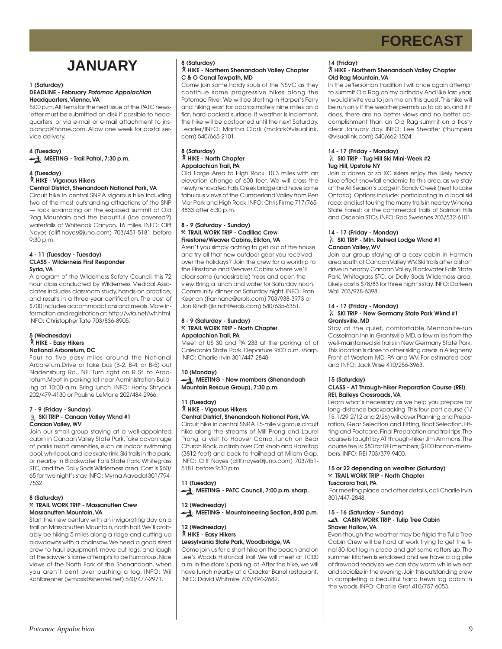## **JANUARY**

#### **1 (Saturday) DEADLINE - February Potomac Appalachian Headquarters, Vienna, VA**

5:00 p.m. All items for the next issue of the PATC newsletter must be submitted on disk if possible to headquarters, or via e-mail or e-mail attachment to jnsbianca@home.com. Allow one week for postal service delivery.

### **4 (Tuesday) MEETING - Trail Patrol, 7:30 p.m.**

### **4 (Tuesday)** ` **HIKE - Vigorous Hikers**

### **Central District, Shenandoah National Park, VA**

Circuit hike in central SNP. A vigorous hike including two of the most outstanding attractions of the SNP — rock scrambling on the exposed summit of Old Rag Mountain and the beautiful (ice covered?) waterfalls of Whiteoak Canyon. 16 miles. INFO: Cliff Noyes (cliff.noyes@juno.com) 703/451-5181 before 9:30 p.m.

#### **4 - 11 (Tuesday - Tuesday) CLASS - Wilderness First Responder Syria, VA**

A program of the Wilderness Safety Council, this 72 hour class conducted by Wilderness Medical Associates includes classroom study, hands-on practice, and results in a three-year certification. The cost of \$700 includes accommodations and meals. More information and registration at: http://wfa.net/wfr.html. INFO: Christopher Tate 703/836-8905.

#### **5 (Wednesday)** ` **HIKE - Easy Hikers National Arboretum, DC**

Four to five easy miles around the National Arboretum.Drive or take bus (B-2, B-4, or B-5) out Bladensburg Rd., NE. Turn right on R St. to Arboretum.Meet in parking lot near Administration Building at 10:00 a.m. Bring lunch. INFO: Henry Shryock 202/479-4130 or Pauline LeMarie 202/484-2966.

#### **7 - 9 (Friday - Sunday) SKI TRIP - Canaan Valley Wknd #1 Canaan Valley, WV**

Join our small group staying at a well-appointed cabin in Canaan Valley State Park. Take advantage of parks resort amenities, such as indoor swimming pool, whirlpool, and ice skate rink. Ski trails in the park, or nearby in Blackwater Falls State Park, Whitegrass STC, and the Dolly Sods Wilderness area. Cost is \$60/ 65 for two night's stay. INFO: Myrna Aavedal 301/794- 7532.

### **8 (Saturday)**

### }**TRAIL WORK TRIP - Massanutten Crew Massanutten Mountain, VA**

Start the new century with an invigorating day on a trail on Massanutten Mountain, north half. We'll probably be hiking 5 miles along a ridge and cutting up blowdowns with a chainsaw. We need a good sized crew to haul equipment, move cut logs, and laugh at the sawyer's lame attempts to be humorous. Nice views of the North Fork of the Shenandoah, when you aren't bent over pushing a log. INFO: Wil Kohlbrenner (wmaxk@shentel.net) 540/477-2971.

#### **8 (Saturday)** ` **HIKE - Northern Shenandoah Valley Chapter C & O Canal Towpath, MD**

Come join some hardy souls of the NSVC as they continue some progressive hikes along the Potomac River. We will be starting in Harper's Ferry and hiking east for approximately nine miles on a flat, hard-packed surface. If weather is inclement, the hike will be postponed until the next Saturday. Leader/INFO: Martha Clark (mclark@visuallink. com) 540/665-2101.

### **8 (Saturday)** ` **HIKE - North Chapter Appalachian Trail, PA**

Old Forge Area to High Rock. 10.3 miles with an elevation change of 600 feet. We will cross the newly renovated Falls Creek bridge and have some fabulous views of the Cumberland Valley from Pen Mar Park and High Rock. INFO: Chris Firme 717/765- 4833 after 6:30 p.m.

#### **8 - 9 (Saturday - Sunday)** }**TRAIL WORK TRIP - Cadillac Crew Firestone/Weaver Cabins, Elkton, VA**

Aren't you simply aching to get out of the house and try all that new outdoor gear you received over the holidays? Join the crew for a worktrip to the Firestone and Weaver Cabins where we'll clear some (undesirable) trees and open the view. Bring a lunch and water for Saturday noon. Community dinner on Saturday night. INFO: Fran Keenan (frannanc@erols.com) 703/938-3973 or Jon Rindt (jkrindt@erols.com) 540/635-6351.

#### **8 - 9 (Saturday - Sunday)** }**TRAIL WORK TRIP - North Chapter Appalachian Trail, PA**

Meet at US 30 and PA 233 at the parking lot of Caledonia State Park. Departure 9:00 a.m. sharp. INFO: Charlie Irvin 301/447-2848.

### **10 (Monday) MEETING - New members (Shenandoah Mountain Rescue Group), 7:30 p.m.**

#### **11 (Tuesday)** ` **HIKE - Vigorous Hikers Central District, Shenandoah National Park, VA**

Circuit hike in central SNP. A 15-mile vigorous circuit hike along the streams of Mill Prong and Laurel Prong, a visit to Hoover Camp, lunch on Bear Church Rock, a climb over Cat Knob and Hazeltop (3812 feet) and back to trailhead at Milam Gap. INFO: Cliff Noyes (cliff.noyes@juno.com) 703/451- 5181 before 9:30 p.m.

**11 (Tuesday) MEETING - PATC Council, 7:00 p.m. sharp.** 

### **12 (Wednesday)** MEETING - Mountaineering Section, 8:00 p.m.

#### **12 (Wednesday)** ` **HIKE - Easy Hikers Leesylvania State Park, Woodbridge, VA**

Come join us for a short hike on the beach and on Lee's Woods Historical Trail. We will meet at 10:00 a.m. in the store's parking lot. After the hike, we will have lunch nearby at a Cracker Barrel restaurant. INFO: David Whitmire 703/494-2682.

### **14 (Friday)**

### ` **HIKE - Northern Shenandoah Valley Chapter Old Rag Mountain, VA**

In the Jeffersonian tradition I will once again attempt to summit Old Rag on my birthday. And like last year, I would invite you to join me on this quest. This hike will be run only if the weather permits us to do so, and if it does, there are no better views and no better accomplishment than an Old Rag summit on a frosty clear January day. INFO: Lee Sheaffer (thumpers @visuallink.com) 540/662-1524.

#### **14 - 17 (Friday - Monday) SKI TRIP - Tug Hill Ski Mini-Week #2 Tug Hill, Upstate NY**

Join a dozen or so XC skiers enjoy the likely heavy lake effect snowfall endemic to this area, as we stay at the All Season's Lodge in Sandy Creek (next to Lake Ontario). Options include: participating in a local ski race; and just touring the many trails in nearby Winona State Forest; or the commercial trails of Salmon Hills and Osceola STCs. INFO: Rob Sweenes 703/532-6101.

#### **14 - 17 (Friday - Monday) SKI TRIP - Mtn. Retreat Lodge Wknd #1 Canaan Valley, WV**

Join our group staying at a cozy cabin in Harmon area south of Canaan Valley WV. Ski trails after a short drive in nearby Canaan Valley, Blackwater Falls State Park, Whitegrass STC, or Dolly Sods Wilderness area. Likely cost is \$78/83 for three night's stay. INFO: Darleen Wall 703/978-6398.

#### **14 - 17 (Friday - Monday) SKI TRIP - New Germany State Park Wknd #1 Grantsville, MD**

Stay at the quiet, comfortable Mennonite-run Casselman Inn in Grantsville MD, a few miles from the well-maintained ski trails in New Germany State Park. This location is close to other skiing areas in Allegheny Front of Western MD, PA and WV. For estimated cost and INFO: Jack Wise 410/256-3963.

### **15 (Saturday)**

### **CLASS - AT Through-hiker Preparation Course (REI) REI, Baileys Crossroads, VA**

Learn what's necessary as we help you prepare for long-distance backpacking. This four part course (1/ 15, 1/29, 2/12 and 2/26) will cover Planning and Preparation, Gear Selection and Fitting, Boot Selection, Fitting and Footcare, Final Preparation and trail tips. The course is taught by AT through-hiker Jim Ammons. The course fee is: \$80 for REI members; \$100 for non-members. INFO: REI 703/379-9400.

#### **15 or 22 depending on weather (Saturday)** }**TRAIL WORK TRIP - North Chapter Tuscarora Trail, PA**

 For meeting place and other details, call Charlie Irvin 301/447-2848.

#### **15 - 16 (Saturday - Sunday) CABIN WORK TRIP - Tulip Tree Cabin Shaver Hollow, VA**

Even though the weather may be frigid the Tulip Tree Cabin Crew will be hard at work trying to get the final 30-foot log in place and get some rafters up. The summer kitchen is enclosed and we have a big pile of firewood ready so we can stay warm while we eat and socialize in the evening. Join this outstanding crew in completing a beautiful hand hewn log cabin in the woods. INFO: Charlie Graf 410/757-6053.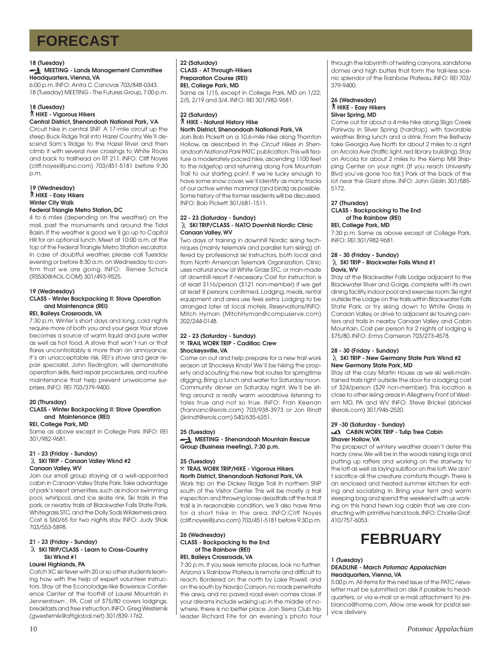### **18 (Tuesday)**

#### **MEETING - Lands Management Committee Headquarters, Vienna, VA**

6:00 p.m. INFO: Anita C Canovas 703/848-0343. 18 (Tuesday) MEETING - The Futures Group, 7:00 p.m.

#### **18 (Tuesday)** ` **HIKE - Vigorous Hikers Central District, Shenandoah National Park, VA**

Circuit hike in central SNP. A 17-mile circuit up the steep Buck Ridge Trail into Hazel Country. We'll descend Sam's Ridge to the Hazel River and then climb it with several river crossings to White Rocks and back to trailhead on RT 211. INFO: Cliff Noyes (cliff.noyes@juno.com) 703/451-5181 before 9:30 p.m.

#### **19 (Wednesday)** ` **HIKE - Easy Hikers Winter City Walk Federal Triangle Metro Station, DC**

4 to 6 miles (depending on the weather) on the mall, past the monuments and around the Tidal Basin. If the weather is good we'll go up to Capitol Hill for an optional lunch. Meet at 10:00 a.m. at the top of the Federal Triangle Metro Station escalator. In case of doubtful weather, please call Tuesday evening or before 8:30 a.m. on Wednesday to confirm that we are going. INFO: Renee Schick (RS530@AOL.COM) 301/493-9525.

### **19 (Wednesday)**

#### **CLASS - Winter Backpacking II: Stove Operation and Maintenance (REI) REI, Baileys Crossroads, VA**

7:30 p.m. Winter's short days and long, cold nights require more of both you and your gear. Your stove becomes a source of warm liquid and pure water as well as hot food. A stove that won't run or that flares uncontrollably is more than an annoyance; it's an unacceptable risk. REI's stove and gear repair specialist, John Redington, will demonstrate operation skills, field repair procedures, and routine maintenance that help prevent unwelcome surprises. INFO: REI 703/379-9400.

### **20 (Thursday)**

### **CLASS - Winter Backpacking II: Stove Operation and Maintenance (REI)**

### **REI, College Park, MD**

Same as above except in College Park. INFO: REI 301/982-9681.

### **21 - 23 (Friday - Sunday)**

### **SKI TRIP - Canaan Valley Wknd #2 Canaan Valley, WV**

Join our small group staying at a well-appointed cabin in Canaan Valley State Park. Take advantage of park's resort amenities, such as indoor swimming pool, whirlpool, and ice skate rink. Ski trails in the park, or nearby trails at Blackwater Falls State Park, Whitegrass STC, and the Dolly Sods Wilderness area. Cost is \$60/65 for two nights stay. INFO: Judy Stiak 703/553-5898.

### **21 - 23 (Friday - Sunday) SKI TRIP/CLASS - Learn to Cross-Country Ski Wknd #1**

### **Laurel Highlands, PA**

Catch XC ski fever with 20 or so other students learning how with the help of expert volunteer instructors. Stay at the Econolodge-like Bowersox Conference Center at the foothill of Laurel Mountain in Jennerstown , PA. Cost of \$75/80 covers lodgings, breakfasts and free instruction. INFO: Greg Westernik (gwesternik@attglobal.net) 301/839-1762.

**22 (Saturday) CLASS - AT Through-Hikers Preparation Course (REI) REI, College Park, MD** Same as 1/15, except in College Park, MD on 1/22, 2/5, 2/19 and 3/4. INFO: REI 301/982-9681.

### **22 (Saturday)** ` **HIKE - Natural History Hike North District, Shenandoah National Park, VA**

Join Bob Pickett on a 10.6-mile hike along Thornton Hollow, as described in the Circuit Hikes in Shenandoah National Park PATC publication. This will feature a moderately paced hike, ascending 1100 feet to the ridgetop and returning along Fork Mountain Trail to our starting point. If we're lucky enough to have some snow cover, we'll identify as many tracks of our active winter mammal (and birds) as possible. Some history of the former residents will be discussed. INFO: Bob Pickett 301/681-1511.

#### **22 - 23 (Saturday - Sunday) SKI TRIP/CLASS - NATO Downhill Nordic Clinic Canaan Valley, WV**

Two days of training in downhill Nordic skiing techniques (mainly telemark and parallel turn skiing) offered by professional ski instructors, both local and from North American Telemark Organization. Clinic uses natural snow at White Grass STC, or man-made at downhill resort if necessary. Cost for instruction is at least \$116/person (\$121 non-member) if we get at least 8 persons confirmed. Lodging, meals, rental equipment and area use fees extra. Lodging to be arranged later at local motels. Reservations/INFO: Mitch Hyman (MitchHyman@compuserve.com) 202/244-0148.

#### **22 - 23 (Saturday - Sunday)** }**TRAIL WORK TRIP - Cadillac Crew Shockeysville, VA**

Come on out and help prepare for a new trail work season at Shockeys Knob! We'll be hiking the property and scouting the new trail routes for sprinatime digging. Bring a lunch and water for Saturday noon. Community dinner on Saturday night. We'll be sitting around a really warm woodstove listening to tales true and not so true. INFO: Fran Keenan (frannanc@erols.com) 703/938-3973 or Jon Rindt (jkrindt@erols.com) 540/635-6351.

## **25 (Tuesday)**

### **MEETING - Shenandoah Mountain Rescue Group (Business meeting), 7:30 p.m.**

#### **25 (Tuesday)** }**TRAIL WORK TRIP/HIKE - Vigorous Hikers North District, Shenandoah National Park, VA**

Work trip on the Dickey Ridge Trail In northern SNP south of the Visitor Center. This will be mostly a trail inspection and throwing loose deadfalls off the trail. If trail is in reasonable condition, we'll also have time for a short hike in the area. INFO:Cliff Noyes (cliff.noyes@juno.com) 703/451-5181 before 9:30 p.m.

#### **26 (Wednesday) CLASS - Backpacking to the End of The Rainbow (REI) REI, Baileys Crossroads, VA**

7:30 p.m. If you seek remote places, look no further. Arizona's Rainbow Plateau is remote and difficult to reach. Bordered on the north by Lake Powell, and on the south by Navajo Canyon, no roads penetrate the area, and no paved road even comes close. If your dreams include waking up in the middle of nowhere, there is no better place. Join Sierra Club trip leader Richard Fite for an evening's photo tour through the labyrinth of twisting canyons, sandstone domes and high buttes that form the trail-less scenic splendor of the Rainbow Plateau. INFO: REI 703/ 379-9400.

### **26 (Wednesday)** ` **HIKE - Easy Hikers Silver Spring, MD**

Come out for about a 4 mile hike along Sligo Creek Parkway in Silver Spring (hardtop), with favorable weather. Bring lunch and a drink. From the Beltway take Georgia Ave North for about 2 miles to a right on Arcola Ave (traffic light, red library building). Stay on Arcola for about 2 miles to the Kemp Mill Shipping Center on your right. (If you reach University Blvd you've gone too far.) Park at the back of the lot near the Giant store. INFO: John Giblin 301/585- 5172.

### **27 (Thursday)**

### **CLASS - Backpacking to The End of The Rainbow (REI)**

**REI, College Park, MD** 7:30 p.m. Same as above except at College Park. INFO: REI 301/982-9681.

### **28 - 30 (Friday - Sunday)**

### **SKI TRIP - Blackwater Falls Wknd #1 Davis, WV**

Stay at the Blackwater Falls Lodge adjacent to the Blackwater River and Gorge, complete with its own dining facility, indoor pool and exercise room. Ski right outside the Lodge on the trails within Blackwater Falls State Park, or try skiing down to White Grass in Canaan Valley, or drive to adjacent ski touring centers and trails in nearby Canaan Valley and Cabin Mountain. Cost per person for 2 nights of lodging is \$75/80. INFO: Erma Cameron 703/273-4578.

### **28 - 30 (Friday - Sunday)**

#### **SKI TRIP - New Germany State Park Wknd #2 New Germany State Park, MD**

Stay at the cozy Martin House as we ski well-maintained trails right outside the door for a lodging cost of \$24/person (\$29 non-member). This location is close to other skiing areas in Allegheny Front of Western MD, PA and WV. INFO: Steve Brickel (sbrickel @erols.com) 301/946-2520.

#### **29 -30 (Saturday - Sunday) CABIN WORK TRIP - Tulip Tree Cabin Shaver Hollow, VA**

The prospect of wintery weather doesn't deter this hardy crew. We will be in the woods raising logs and putting up rafters and working on the stairway to the loft as well as laying subfloor on the loft. We don' t sacrifice all the creature comforts though. There is an enclosed and heated summer kitchen for eating and socializing in. Bring your tent and warm sleeping bag and spend the weekend with us working on this hand hewn log cabin that we are constructing with primitive hand tools. INFO: Charlie Graf: 410/757-6053.



### **1 (Tuesday) DEADLINE - March Potomac Appalachian Headquarters, Vienna, VA**

5:00 p.m. All items for the next issue of the PATC newsletter must be submitted on disk if possible to headquarters, or via e-mail or e-mail attachment to jnsbianca@home.com. Allow one week for postal service delivery.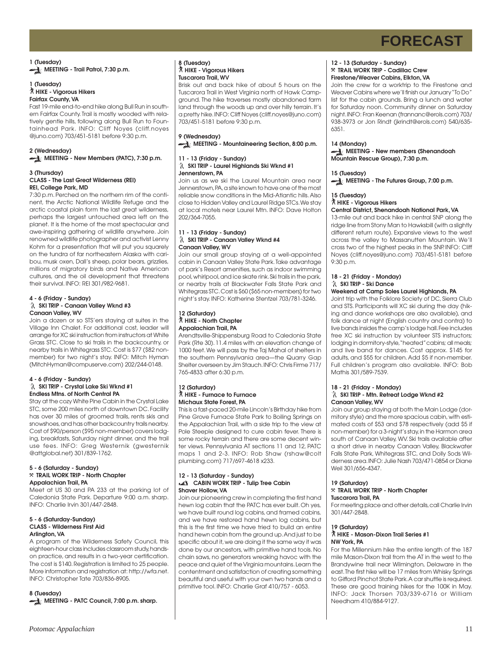**1 (Tuesday) MEETING - Trail Patrol, 7:30 p.m.** 

#### **1 (Tuesday)** ` **HIKE - Vigorous Hikers Fairfax County, VA**

Fast 19-mile end-to-end hike along Bull Run in southern Fairfax County. Trail is mostly wooded with relatively gentle hills, following along Bull Run to Fountainhead Park. INFO: Cliff Noyes (cliff.noyes @juno.com) 703/451-5181 before 9:30 p.m.

### **2 (Wednesday)**

**MEETING - New Members (PATC), 7:30 p.m.** 

#### **3 (Thursday) CLASS - The Last Great Wilderness (REI) REI, College Park, MD**

7:30 p.m. Perched on the northern rim of the continent, the Arctic National Wildlife Refuge and the arctic coastal plain form the last great wilderness, perhaps the largest untouched area left on the planet. It is the home of the most spectacular and awe-inspiring gathering of wildlife anywhere. Join renowned wildlife photographer and activist Lenny Kohm for a presentation that will put you squarely on the tundra of far northeastern Alaska with caribou, musk oxen, Dall's sheep, polar bears, grizzlies, millions of migratory birds and Native American cultures, and the oil development that threatens their survival. INFO: REI 301/982-9681.

#### **4 - 6 (Friday - Sunday) SKI TRIP - Canaan Valley Wknd #3 Canaan Valley, WV**

Join a dozen or so STS'ers staying at suites in the Village Inn Chalet. For additional cost, leader will arrange for XC ski instruction from instructors at White Grass STC. Close to ski trails in the backcountry, or nearby trails in Whitegrass STC. Cost is \$77 (\$82 nonmember) for two night's stay. INFO: Mitch Hyman (MitchHyman@compuserve.com) 202/244-0148.

#### **4 - 6 (Friday - Sunday) SKI TRIP - Crystal Lake Ski Wknd #1**

**Endless Mtns. of North Central PA** Stay at the cozy White Pine Cabin in the Crystal Lake STC, some 200 miles north of downtown DC. Facility has over 30 miles of groomed trails, rents skis and snowshoes, and has other backcountry trails nearby. Cost of \$90/person (\$95 non-member) covers lodging, breakfasts, Saturday night dinner, and the trail use fees. INFO: Greg Westernik (gwesternik @attglobal.net) 301/839-1762.

#### **5 - 6 (Saturday - Sunday)** }**TRAIL WORK TRIP - North Chapter Appalachian Trail, PA**

Meet at US 30 and PA 233 at the parking lot of Caledonia State Park. Departure 9:00 a.m. sharp. INFO: Charlie Irvin 301/447-2848.

#### **5 - 6 (Saturday-Sunday) CLASS - Wilderness First Aid Arlington, VA**

A program of the Wilderness Safety Council, this eighteen-hour class includes classroom study, handson practice, and results in a two-year certification. The cost is \$140. Registration is limited to 25 people. More information and registration at: http://wfa.net. INFO: Christopher Tate 703/836-8905.

**8 (Tuesday) MEETING - PATC Council, 7:00 p.m. sharp.**

#### **8 (Tuesday)** ` **HIKE - Vigorous Hikers Tuscarora Trail, WV**

Brisk out and back hike of about 5 hours on the Tuscarora Trail in West Virginia north of Hawk Campground. The hike traverses mostly abandoned farm land through the woods up and over hilly terrain. It's a pretty hike. INFO: Cliff Noyes (cliff.noyes@juno.com) 703/451-5181 before 9:30 p.m.

### **9 (Wednesday)**

**MEETING - Mountaineering Section, 8:00 p.m.**

#### **11 - 13 (Friday - Sunday) SKI TRIP - Laurel Highlands Ski Wknd #1 Jennerstown, PA**

Join us as we ski the Laurel Mountain area near Jennerstown, PA, a site known to have one of the most reliable snow conditions in the Mid-Atlantic hills. Also close to Hidden Valley and Laurel Ridge STCs. We stay at local motels near Laurel Mtn. INFO: Dave Holton 202/364-7055.

#### **11 - 13 (Friday - Sunday) SKI TRIP - Canaan Valley Wknd #4 Canaan Valley, WV**

Join our small group staying at a well-appointed cabin in Canaan Valley State Park. Take advantage of park's Resort amenities, such as indoor swimming pool, whirlpool, and ice skate rink. Ski trails in the park, or nearby trails at Blackwater Falls State Park and Whitegrass STC. Cost is \$60 (\$65 non-members) for two night's stay. INFO: Katherine Stentzel 703/781-3246.

### **12 (Saturday)** ` **HIKE - North Chapter Appalachian Trail, PA**

Arendtsville-Shippensburg Road to Caledonia State Park (Rte 30). 11.4 miles with an elevation change of 1000 feet. We will pass by the Taj Mahal of shelters in the southern Pennsylvania area—the Quarry Gap Shelter overseen by Jim Stauch. INFO: Chris Firme 717/ 765-4833 after 6:30 p.m.

#### **12 (Saturday)** ` **HIKE - Furnace to Furnace Michaux State Forest, PA**

This is a fast-paced 20-mile Lincoln's Birthday hike from Pine Grove Furnace State Park to Boiling Springs on the Appalachian Trail, with a side trip to the view at Pole Steeple designed to cure cabin fever. There is some rocky terrain and there are some decent winter views. Pennsylvania AT sections 11 and 12, PATC maps 1 and 2-3. INFO: Rob Shaw (rshaw@colt plumbing.com) 717/697-4618 x233.

#### **12 - 13 (Saturday - Sunday) CABIN WORK TRIP - Tulip Tree Cabin Shaver Hollow, VA**

Join our pioneering crew in completing the first hand hewn log cabin that the PATC has ever built. Oh yes, we have built round log cabins, and framed cabins, and we have restored hand hewn log cabins, but this is the first time we have tried to build an entire hand hewn cabin from the ground up. And just to be specific about it, we are doing it the same way it was done by our ancestors, with primitive hand tools. No chain saws, no generators wreaking havoc with the peace and quiet of the Virginia mountains. Learn the contentment and satisfaction of creating something beautiful and useful with your own two hands and a primitive tool. INFO: Charlie Graf 410/757 - 6053.

#### **12 - 13 (Saturday - Sunday)** }**TRAIL WORK TRIP - Cadillac Crew Firestone/Weaver Cabins, Elkton, VA**

Join the crew for a worktrip to the Firestone and Weaver Cabins where we'll finish our January "To Do" list for the cabin grounds. Bring a lunch and water for Saturday noon. Community dinner on Saturday night. INFO: Fran Keenan (frannanc@erols.com) 703/ 938-3973 or Jon Rindt (jkrindt@erols.com) 540/635- 6351.

### **14 (Monday)**

**MEETING - New members (Shenandoah Mountain Rescue Group), 7:30 p.m.**

### **15 (Tuesday)**

**MEETING - The Futures Group, 7:00 p.m.**

#### **15 (Tuesday)** ` **HIKE - Vigorous Hikers**

### **Central District, Shenandoah National Park, VA**

13-mile out and back hike in central SNP along the ridge line from Stony Man to Hawksbill (with a slightly different return route). Expansive views to the west across the valley to Massanutten Mountain. We'll cross two of the highest peaks in the SNP. INFO: Cliff Noyes (cliff.noyes@juno.com) 703/451-5181 before 9:30 p.m.

### **18 - 21 (Friday - Monday) SKI TRIP - Ski Dance**

### **Weekend at Camp Soles Laurel Highlands, PA**

Joint trip with the Folklore Society of DC, Sierra Club and STS. Participants will XC ski during the day (hiking and dance workshops are also available), and folk dance at night (English country and contra) to live bands insides the camp's lodge hall. Fee includes free XC ski instruction by volunteer STS instructors; lodging in dormitory-style, "heated" cabins; all meals; and live band for dances. Cost approx. \$145 for adults, and \$55 for children. Add \$5 if non-member. Full children's program also available. INFO: Bob Mathis 301/589-7539.

#### **18 - 21 (Friday - Monday) SKI TRIP - Mtn. Retreat Lodge Wknd #2 Canaan Valley, WV**

Join our group staying at both the Main Lodge (dormitory style) and the more spacious cabin, with estimated costs of \$53 and \$78 respectively (add \$5 if non-member) for a 3-night's stay, in the Harmon area south of Canaan Valley, WV. Ski trails available after a short drive in nearby Canaan Valley, Blackwater Falls State Park, Whitegrass STC, and Dolly Sods Wilderness area. INFO: Julie Nash 703/471-0854 or Diane Weil 301/656-4347.

#### **19 (Saturday)** }**TRAIL WORK TRIP - North Chapter Tuscarora Trail, PA**

For meeting place and other details, call Charlie Irvin 301/447-2848.

### **19 (Saturday)**

#### ` **HIKE - Mason-Dixon Trail Series #1 NW York, PA**

For the Millennium hike the entire length of the 187 mile Mason-Dixon trail from the AT in the west to the Brandywine trail near Wilmington, Delaware in the east. The first hike will be 17 miles from Whisky Springs to Gifford Pinchot State Park. A car shuttle is required. These are good training hikes for the 100K in May. INFO: Jack Thorsen 703/339-6716 or William Needham 410/884-9127.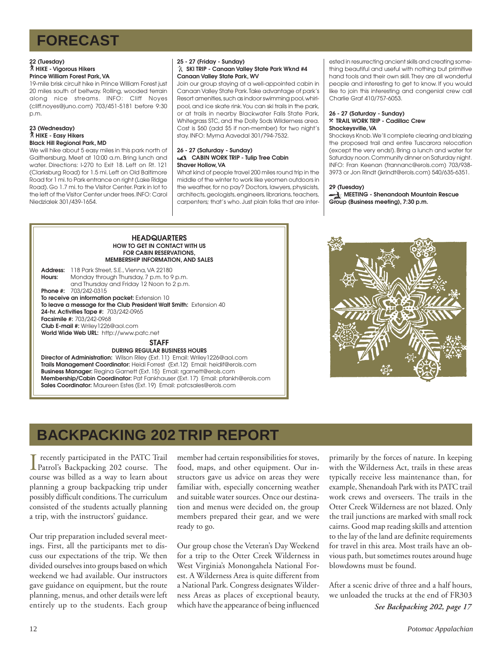### **22 (Tuesday)** ` **HIKE - Vigorous Hikers Prince William Forest Park, VA**

19-mile brisk circuit hike in Prince William Forest just 20 miles south of beltway. Rolling, wooded terrain along nice streams. INFO: Cliff Noyes (cliff.noyes@juno.com) 703/451-5181 before 9:30 p.m.

### **23 (Wednesday)** ` **HIKE - Easy Hikers Black Hill Regional Park, MD**

We will hike about 5 easy miles in this park north of Gaithersburg. Meet at 10:00 a.m. Bring lunch and water. Directions: I-270 to Exit 18. Left on Rt. 121 (Clarksburg Road) for 1.5 mi. Left on Old Baltimore Road for 1 mi. to Park entrance on right (Lake Ridge Road). Go 1.7 mi. to the Visitor Center. Park in lot to the left of the Visitor Center under trees. INFO: Carol Niedzialek 301/439-1654.

### **25 - 27 (Friday - Sunday) SKI TRIP - Canaan Valley State Park Wknd #4 Canaan Valley State Park, WV**

Join our group staying at a well-appointed cabin in Canaan Valley State Park. Take advantage of park's Resort amenities, such as indoor swimming pool, whirlpool, and ice skate rink. You can ski trails in the park, or at trails in nearby Blackwater Falls State Park, Whitegrass STC, and the Dolly Sods Wilderness area. Cost is \$60 (add \$5 if non-member) for two night's stay. INFO: Myrna Aavedal 301/794-7532.

#### **26 - 27 (Saturday - Sunday) CABIN WORK TRIP - Tulip Tree Cabin Shaver Hollow, VA**

What kind of people travel 200 miles round trip in the middle of the winter to work like yeomen outdoors in the weather, for no pay? Doctors, lawyers, physicists, architects, geologists, engineers, librarians, teachers, carpenters; that's who. Just plain folks that are inter-

ested in resurrecting ancient skills and creating something beautiful and useful with nothing but primitive hand tools and their own skill. They are all wonderful people and interesting to get to know. If you would like to join this interesting and congenial crew call Charlie Graf 410/757-6053.

#### **26 - 27 (Saturday - Sunday)** }**TRAIL WORK TRIP - Cadillac Crew Shockeysville, VA**

Shockeys Knob. We'll complete clearing and blazing the proposed trail and entire Tuscarora relocation (except the very ends!). Bring a lunch and water for Saturday noon. Community dinner on Saturday night. INFO: Fran Keenan (frannanc@erols.com) 703/938- 3973 or Jon Rindt (jkrindt@erols.com) 540/635-6351.

### **29 (Tuesday)**

**MEETING - Shenandoah Mountain Rescue Group (Business meeting), 7:30 p.m.**

#### **HEADQUARTERS HOW TO GET IN CONTACT WITH US FOR CABIN RESERVATIONS, MEMBERSHIP INFORMATION, AND SALES**

**Address:** 118 Park Street, S.E., Vienna, VA 22180 **Hours:** Monday through Thursday, 7 p.m. to 9 p.m. and Thursday and Friday 12 Noon to 2 p.m. **Phone #:** 703/242-0315 **To receive an information packet:** Extension 10 **To leave a message for the Club President Walt Smith:** Extension 40 **24-hr. Activities Tape #:** 703/242-0965 **Facsimile #:** 703/242-0968 **Club E-mail #:** Wriley1226@aol.com **World Wide Web URL:** http://www.patc.net

### **STAFF**

**DURING REGULAR BUSINESS HOURS**

**Director of Administration:** Wilson Riley (Ext. 11) Email: Wriley1226@aol.com **Trails Management Coordinator:** Heidi Forrest (Ext.12) Email: heidif@erols.com **Business Manager:** Regina Garnett (Ext. 15) Email: rgarnett@erols.com **Membership/Cabin Coordinator:** Pat Fankhauser (Ext. 17) Email: pfankh@erols.com **Sales Coordinator:** Maureen Estes (Ext. 19) Email: patcsales@erols.com



## **BACKPACKING 202 TRIP REPORT**

I Patrol's Backpacking 202 course. The recently participated in the PATC Trail course was billed as a way to learn about planning a group backpacking trip under possibly difficult conditions. The curriculum consisted of the students actually planning a trip, with the instructors' guidance.

Our trip preparation included several meetings. First, all the participants met to discuss our expectations of the trip. We then divided ourselves into groups based on which weekend we had available. Our instructors gave guidance on equipment, but the route planning, menus, and other details were left entirely up to the students. Each group member had certain responsibilities for stoves, food, maps, and other equipment. Our instructors gave us advice on areas they were familiar with, especially concerning weather and suitable water sources. Once our destination and menus were decided on, the group members prepared their gear, and we were ready to go.

Our group chose the Veteran's Day Weekend for a trip to the Otter Creek Wilderness in West Virginia's Monongahela National Forest. A Wilderness Area is quite different from a National Park. Congress designates Wilderness Areas as places of exceptional beauty, which have the appearance of being influenced

primarily by the forces of nature. In keeping with the Wilderness Act, trails in these areas typically receive less maintenance than, for example, Shenandoah Park with its PATC trail work crews and overseers. The trails in the Otter Creek Wilderness are not blazed. Only the trail junctions are marked with small rock cairns. Good map reading skills and attention to the lay of the land are definite requirements for travel in this area. Most trails have an obvious path, but sometimes routes around huge blowdowns must be found.

After a scenic drive of three and a half hours, we unloaded the trucks at the end of FR303 *See Backpacking 202, page 17*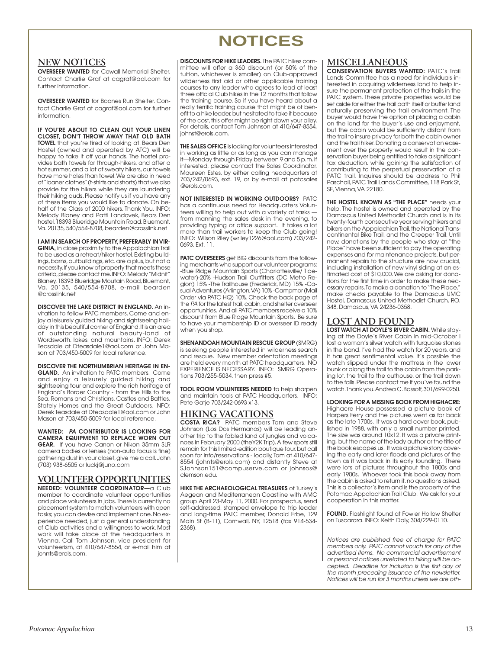## **NOTICES**

### **NEW NOTICES**

**OVERSEER WANTED** for Cowall Memorial Shelter. Contact Charlie Graf at cagraf@aol.com for further information.

**OVERSEER WANTED** for Boones Run Shelter. Contact Charlie Graf at cagraf@aol.com for further information.

**IF YOU'RE ABOUT TO CLEAN OUT YOUR LINEN CLOSET, DON'T THROW AWAY THAT OLD BATH TOWEL** that you're tired of looking at. Bears Den Hostel (owned and operated by ATC) will be happy to take it off your hands. The hostel provides bath towels for through-hikers, and after a hot summer, and a lot of sweaty hikers, our towels have more holes than towel. We are also in need of "loaner clothes" (t-shirts and shorts) that we also provide for the hikers while they are laundering their hiking duds. Please notify us if you have any of these items you would like to donate. On behalf of the Class of 2000 hikers, Thank You. INFO: Melody Blaney and Patti Landovek, Bears Den hostel, 18393 Blueridge Mountain Road, Bluemont, Va. 20135, 540/554-8708, bearden@crosslink.net

**I AM IN SEARCH OF PROPERTY, PREFERABLY IN VIR-GINIA,** in close proximity to the Appalachian Trail to be used as a retreat/hiker hostel. Existing buildings, barns, outbuildings, etc. are a plus, but not a necessity. If you know of property that meets these criteria, please contact me. INFO: Melody "Midnit" Blaney, 18393 Blueridge Moutain Road, Bluemont, Va. 20135, 540/554-8708, e-mail bearden @crosslink.net

**DISCOVER THE LAKE DISTRICT IN ENGLAND.** An invitation to fellow PATC members. Come and enjoy a leisurely guided hiking and sightseeing holiday in this beautiful corner of England. It is an area of outstanding natural beauty-land of Wordsworth, lakes, and mountains. INFO: Derek Teasdale at Dteasdale1@aol.com or John Mason at 703/450-5009 for local reference.

**DISCOVER THE NORTHUMBRIAN HERITAGE IN EN-GLAND.** An invitation to PATC members. Come and enjoy a leisurely guided hiking and sightseeing tour and explore the rich heritage of England's Border Country - from the Hills to the Sea, Romans and Christians, Castles and Battles, Stately Homes and the Great Outdoors. INFO: Derek Teasdale at Dteasdale1@aol.com or John Mason at 703/450-5009 for local reference.

**WANTED: PA CONTRIBUTOR IS LOOKING FOR CAMERA EQUIPMENT TO REPLACE WORN OUT GEAR.** If you have Canon or Nikon 35mm SLR camera bodies or lenses (non-auto focus is fine) gathering dust in your closet, give me a call. John (703) 938-6505 or luckj@juno.com

### **VOLUNTEER OPPORTUNITIES**

**NEEDED: VOLUNTEER COORDINATOR—**a Club member to coordinate volunteer opportunities and place volunteers in jobs. There is currently no placement system to match volunteers with open tasks; you can devise and implement one. No experience needed, just a general understanding of Club activities and a willingness to work. Most work will take place at the headquarters in Vienna. Call Tom Johnson, vice president for volunteerism, at 410/647-8554, or e-mail him at johnts@erols.com.

#### **DISCOUNTS FOR HIKE LEADERS.** The PATC hikes committee will offer a \$60 discount (or 50% of the tuition, whichever is smaller) on Club-approved wilderness first aid or other applicable training courses to any leader who agrees to lead at least three official Club hikes in the 12 months that follow the training course. So if you have heard about a really terrific training course that might be of benefit to a hike leader, but hesitated to take it because of the cost, this offer might be right down your alley. For details, contact Tom Johnson at 410/647-8554, johnst@erols.com.

**THE SALES OFFICE** is looking for volunteers interested in working as little or as long as you can manage it—Monday through Friday between 9 and 5 p.m. If interested, please contact the Sales Coordinator, Maureen Estes, by either calling headquarters at 703/242/0693, ext. 19, or by e-mail at patcsales @erols.com.

**NOT INTERESTED IN WORKING OUTDOORS?** PATC has a continuous need for Headquarters Volunteers willing to help out with a variety of tasks from manning the sales desk in the evening, to providing typing or office support. It takes a lot more than trail workers to keep the Club going! INFO: Wilson Riley (wriley1226@aol.com) 703/242- 0693, Ext. 11.

**PATC OVERSEERS** get BIG discounts from the following merchants who support our volunteer programs: -Blue Ridge Mountain Sports (Charlottesville/ Tidewater)-20% -Hudson Trail Outfitters (DC Metro Region) 15% -The Trailhouse (Frederick, MD) 15% -Casual Adventures (Arlington, VA) 10% -Campmor (Mail Order via PATC HQ) 10%. Check the back page of the PA for the latest trail, cabin, and shelter overseer opportunities. And all PATC members receive a 10% discount from Blue Ridge Mountain Sports. Be sure to have your membership ID or overseer ID ready when you shop.

**SHENANDOAH MOUNTAIN RESCUE GROUP** (SMRG) is seeking people interested in wilderness search and rescue. New member orientation meetings are held every month at PATC headquarters. NO EXPERIENCE IS NECESSARY. INFO: SMRG Operations 703/255-5034, then press #5.

**TOOL ROOM VOLUNTEERS NEEDED** to help sharpen and maintain tools at PATC Headquarters. INFO: Pete Gatje 703/242-0693 x13.

### **HIKING VACATIONS**

**COSTA RICA?** PATC members Tom and Steve Johnson (Los Dos Hermanos) will be leading another trip to the fabled land of jungles and volcanoes in February 2000 (theY2K Trip). A few spots still remain for this limited-edition boutique tour, but call soon for info/reservations - locally, Tom at 410/647- 8554 (johnts@erols.com) and distantly Steve at SJohnson151@compuserve.com or johnsos@ clemson.edu.

**HIKE THE ARCHAEOLOGICAL TREASURES** of Turkey's Aegean and Mediterranean Coastline with AMC group April 23-May 11, 2000. For prospectus, send self-addressed, stamped envelope to trip leader and long-time PATC member, Donald Erbe, 129 Main St (B-11), Cornwall, NY, 12518 (fax 914-534- 2368).

### **MISCELLANEOUS**

**CONSERVATION BUYERS WANTED:** PATC's Trail Lands Committee has a need for individuals interested in acquiring wilderness land to help insure the permanent protection of the trails in the PATC system. These private properties would be set aside for either the trail path itself or buffer land naturally preserving the trail environment. The buyer would have the option of placing a cabin on the land for the buyer's use and enjoyment, but the cabin would be sufficiently distant from the trail to insure privacy for both the cabin owner and the trail hiker. Donating a conservation easement over the property would result in the conservation buyer being entitled to take a significant tax deduction, while gaining the satisfaction of contributing to the perpetual preservation of a PATC trail. Inquires should be address to Phil Paschall, PATC Trail Lands Committee, 118 Park St, SE, Vienna, VA 22180.

**THE HOSTEL KNOWN AS "THE PLACE"** needs your help. The hostel is owned and operated by the Damascus United Methodist Church and is in its twenty-fourth consecutive year serving hikers and bikers on the Appalachian Trail, the National Transcontinental Bike Trail, and the Creeper Trail. Until now, donations by the people who stay at "the Place" have been sufficient to pay the operating expenses and for maintenance projects, but permanent repairs to the structure are now crucial, including installation of new vinyl siding at an estimated cost of \$10,000. We are asking for donations for the first time in order to make these necessary repairs. To make a donation to "The Place," make checks payable to the Damascus UMC Hostel, Damascus United Methodist Church, P.O. 348, Damascus, VA 24236-0358.

### **LOST AND FOUND**

**LOST WATCH AT DOYLE'S RIVER CABIN.** While staying at the Doyle's River Cabin in mid-October I lost a woman's silver watch with turquoise stones in the band. I've had the watch for 20 years, and it has great sentimental value. It's possible the watch slipped under the mattress in the lower bunk or along the trail to the cabin from the parking lot, the trail to the outhouse, or the trail down to the falls. Please contact me if you've found the watch. Thank you. Andrea C. Bassoff, 301/699-0250.

### **LOOKING FOR A MISSING BOOK FROM HIGHACRE:**

Highacre House possessed a picture book of Harpers Ferry and the pictures went as far back as the late 1700s. It was a hard cover book, published in 1988, with only a small number printed. The size was around 10x12. It was a private printing, but the name of the lady author or the title of the book escapes us. It was a picture story covering the early and later floods and pictures of the town as it was back in its early founding. There were lots of pictures throughout the 1800s and early 1900s. Whoever took this book away from the cabin is asked to return it, no questions asked. This is a collector's item and is the property of the Potomac Appalachian Trail Club. We ask for your cooperation in this matter.

**FOUND.** Flashlight found at Fowler Hollow Shelter on Tuscarora. INFO: Keith Daly, 304/229-0110.

Notices are published free of charge for PATC members only. PATC cannot vouch for any of the advertised items. No commercial advertisement or personal notices unrelated to hiking will be accepted. Deadline for inclusion is the first day of the month preceding issuance of the newsletter. Notices will be run for 3 months unless we are oth-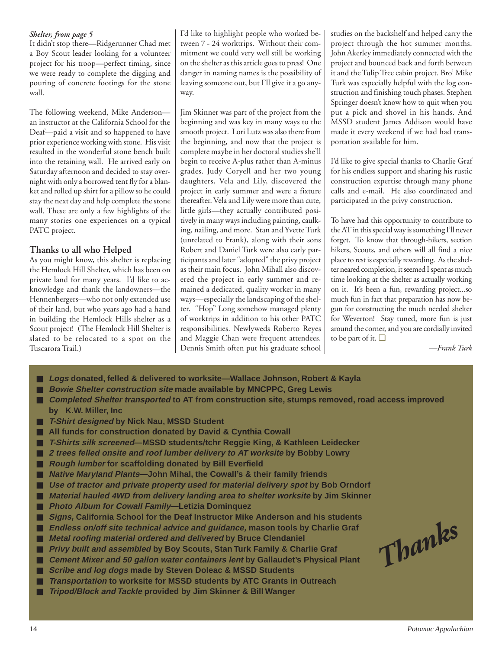### *Shelter, from page 5*

It didn't stop there—Ridgerunner Chad met a Boy Scout leader looking for a volunteer project for his troop—perfect timing, since we were ready to complete the digging and pouring of concrete footings for the stone wall.

The following weekend, Mike Anderson an instructor at the California School for the Deaf—paid a visit and so happened to have prior experience working with stone. His visit resulted in the wonderful stone bench built into the retaining wall. He arrived early on Saturday afternoon and decided to stay overnight with only a borrowed tent fly for a blanket and rolled up shirt for a pillow so he could stay the next day and help complete the stone wall. These are only a few highlights of the many stories one experiences on a typical PATC project.

### **Thanks to all who Helped**

As you might know, this shelter is replacing the Hemlock Hill Shelter, which has been on private land for many years. I'd like to acknowledge and thank the landowners—the Hennenbergers—who not only extended use of their land, but who years ago had a hand in building the Hemlock Hills shelter as a Scout project! (The Hemlock Hill Shelter is slated to be relocated to a spot on the Tuscarora Trail.)

I'd like to highlight people who worked between 7 - 24 worktrips. Without their commitment we could very well still be working on the shelter as this article goes to press! One danger in naming names is the possibility of leaving someone out, but I'll give it a go anyway.

Jim Skinner was part of the project from the beginning and was key in many ways to the smooth project. Lori Lutz was also there from the beginning, and now that the project is complete maybe in her doctoral studies she'll begin to receive A-plus rather than A-minus grades. Judy Coryell and her two young daughters, Vela and Lily, discovered the project in early summer and were a fixture thereafter. Vela and Lily were more than cute, little girls—they actually contributed positively in many ways including painting, caulking, nailing, and more. Stan and Yvette Turk (unrelated to Frank), along with their sons Robert and Daniel Turk were also early participants and later "adopted" the privy project as their main focus. John Mihall also discovered the project in early summer and remained a dedicated, quality worker in many ways—especially the landscaping of the shelter. "Hop" Long somehow managed plenty of worktrips in addition to his other PATC responsibilities. Newlyweds Roberto Reyes and Maggie Chan were frequent attendees. Dennis Smith often put his graduate school studies on the backshelf and helped carry the project through the hot summer months. John Akerley immediately connected with the project and bounced back and forth between it and the Tulip Tree cabin project. Bro' Mike Turk was especially helpful with the log construction and finishing touch phases. Stephen Springer doesn't know how to quit when you put a pick and shovel in his hands. And MSSD student James Addison would have made it every weekend if we had had transportation available for him.

I'd like to give special thanks to Charlie Graf for his endless support and sharing his rustic construction expertise through many phone calls and e-mail. He also coordinated and participated in the privy construction.

To have had this opportunity to contribute to the AT in this special way is something I'll never forget. To know that through-hikers, section hikers, Scouts, and others will all find a nice place to rest is especially rewarding. As the shelter neared completion, it seemed I spent as much time looking at the shelter as actually working on it. It's been a fun, rewarding project...so much fun in fact that preparation has now begun for constructing the much needed shelter for Weverton! Stay tuned, more fun is just around the corner, and you are cordially invited to be part of it. ❑

*—Frank Turk*

- *Logs* donated, felled & delivered to worksite—Wallace Johnson, Robert & Kayla
- **Bowie Shelter construction site made available by MNCPPC, Greg Lewis**
- Completed Shelter transported to AT from construction site, stumps removed, road access improved **by K.W. Miller, Inc**
- **T-Shirt designed by Nick Nau, MSSD Student**
- All funds for construction donated by David & Cynthia Cowall
- **T-Shirts silk screened—MSSD students/tchr Reggie King, & Kathleen Leidecker**
- 2 trees felled onsite and roof lumber delivery to AT worksite by Bobby Lowry
- **Rough lumber for scaffolding donated by Bill Everfield**
- **Native Maryland Plants**—John Mihal, the Cowall's & their family friends
- Use of tractor and private property used for material delivery spot by Bob Orndorf
- *Material hauled 4WD from delivery landing area to shelter worksite* **by Jim Skinner**
- **Photo Album for Cowall Family—Letizia Dominquez**
- *Signs*, California School for the Deaf Instructor Mike Anderson and his students
- **Endless on/off site technical advice and guidance, mason tools by Charlie Graf**
- *Metal roofing material ordered and delivered* by Bruce Clendaniel
- *Privy built and assembled* **by Boy Scouts, Stan Turk Family & Charlie Graf**
- Cement Mixer and 50 gallon water containers lent by Gallaudet's Physical Plant
- *Scribe and log dogs* made by Steven Doleac & MSSD Students
- *Transportation* **to worksite for MSSD students by ATC Grants in Outreach**
- **Tripod/Block and Tackle provided by Jim Skinner & Bill Wanger**

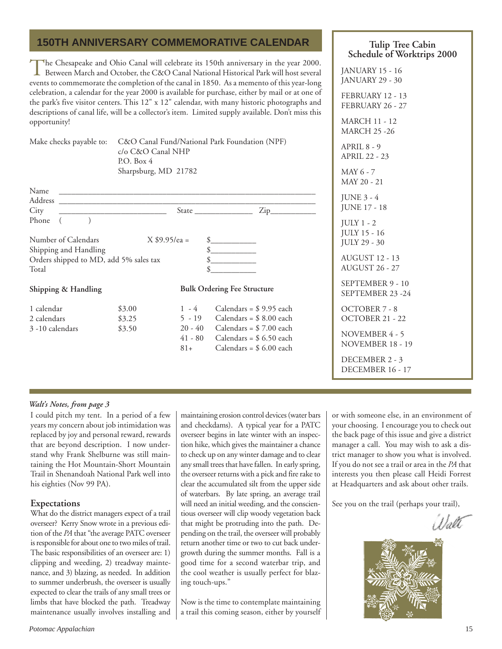### **150TH ANNIVERSARY COMMEMORATIVE CALENDAR**

The Chesapeake and Ohio Canal will celebrate its 150th anniversary in the year 2000.<br>Between March and October, the C&O Canal National Historical Park will host several events to commemorate the completion of the canal in 1850. As a memento of this year-long celebration, a calendar for the year 2000 is available for purchase, either by mail or at one of the park's five visitor centers. This 12" x 12" calendar, with many historic photographs and descriptions of canal life, will be a collector's item. Limited supply available. Don't miss this opportunity!

Make checks payable to: C&O Canal Fund/National Park Foundation (NPF)

c/o C&O Canal NHP P.O. Box 4 Sharpsburg, MD 21782

| Name                                   |        |                                    |                          |
|----------------------------------------|--------|------------------------------------|--------------------------|
| <b>Address</b>                         |        |                                    |                          |
| City                                   |        |                                    | Zip_                     |
| Phone                                  |        |                                    |                          |
| Number of Calendars                    |        | $X $9.95/ea =$                     |                          |
| Shipping and Handling                  |        |                                    | \$                       |
| Orders shipped to MD, add 5% sales tax |        |                                    |                          |
| Total                                  |        |                                    |                          |
| Shipping & Handling                    |        | <b>Bulk Ordering Fee Structure</b> |                          |
| 1 calendar                             | \$3.00 | $1 - 4$                            | Calendars = $$9.95$ each |
| 2 calendars                            | \$3.25 | $5 - 19$                           | Calendars = $$8.00$ each |
| 3-10 calendars                         | \$3.50 | $20 - 40$                          | Calendars = $$7.00$ each |
|                                        |        | 41 - 80                            | Calendars = $$6.50$ each |
|                                        |        | 81+                                | Calendars = $$6.00$ each |

### **Tulip Tree Cabin Schedule of Worktrips 2000**

JANUARY 15 - 16 JANUARY 29 - 30 FEBRUARY 12 - 13 FEBRUARY 26 - 27 MARCH 11 - 12 MARCH 25 -26 APRIL 8 - 9 APRIL 22 - 23 MAY 6 - 7 MAY 20 - 21 JUNE 3 - 4 JUNE 17 - 18 JULY 1 - 2 JULY 15 - 16 JULY 29 - 30 AUGUST 12 - 13 AUGUST 26 - 27 SEPTEMBER 9 - 10 SEPTEMBER 23 -24 OCTOBER 7 - 8 OCTOBER 21 - 22 NOVEMBER 4 - 5 NOVEMBER 18 - 19 DECEMBER 2 - 3 DECEMBER 16 - 17

### *Walt's Notes, from page 3*

I could pitch my tent. In a period of a few years my concern about job intimidation was replaced by joy and personal reward, rewards that are beyond description. I now understand why Frank Shelburne was still maintaining the Hot Mountain-Short Mountain Trail in Shenandoah National Park well into his eighties (Nov 99 PA).

### **Expectations**

What do the district managers expect of a trail overseer? Kerry Snow wrote in a previous edition of the *PA* that "the average PATC overseer is responsible for about one to two miles of trail. The basic responsibilities of an overseer are: 1) clipping and weeding, 2) treadway maintenance, and 3) blazing, as needed. In addition to summer underbrush, the overseer is usually expected to clear the trails of any small trees or limbs that have blocked the path. Treadway maintenance usually involves installing and

maintaining erosion control devices (water bars and checkdams). A typical year for a PATC overseer begins in late winter with an inspection hike, which gives the maintainer a chance to check up on any winter damage and to clear any small trees that have fallen. In early spring, the overseer returns with a pick and fire rake to clear the accumulated silt from the upper side of waterbars. By late spring, an average trail will need an initial weeding, and the conscientious overseer will clip woody vegetation back that might be protruding into the path. Depending on the trail, the overseer will probably return another time or two to cut back undergrowth during the summer months. Fall is a good time for a second waterbar trip, and the cool weather is usually perfect for blazing touch-ups."

Now is the time to contemplate maintaining a trail this coming season, either by yourself

or with someone else, in an environment of your choosing. I encourage you to check out the back page of this issue and give a district manager a call. You may wish to ask a district manager to show you what is involved. If you do not see a trail or area in the *PA* that interests you then please call Heidi Forrest at Headquarters and ask about other trails.

See you on the trail (perhaps your trail),

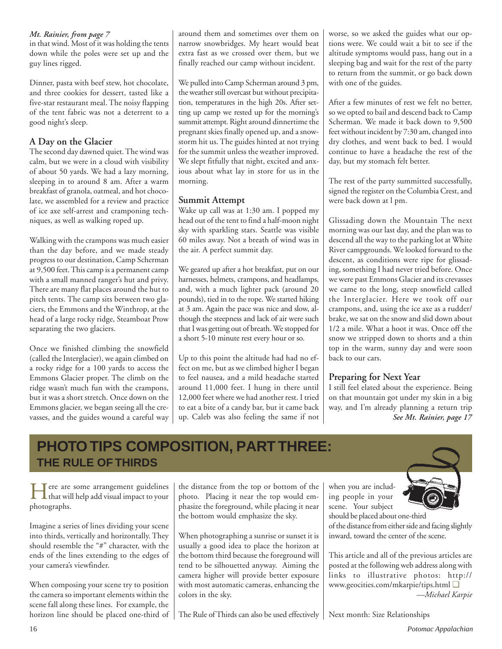in that wind. Most of it was holding the tents down while the poles were set up and the guy lines rigged.

Dinner, pasta with beef stew, hot chocolate, and three cookies for dessert, tasted like a five-star restaurant meal. The noisy flapping of the tent fabric was not a deterrent to a good night's sleep.

### **A Day on the Glacier**

The second day dawned quiet. The wind was calm, but we were in a cloud with visibility of about 50 yards. We had a lazy morning, sleeping in to around 8 am. After a warm breakfast of granola, oatmeal, and hot chocolate, we assembled for a review and practice of ice axe self-arrest and cramponing techniques, as well as walking roped up.

Walking with the crampons was much easier than the day before, and we made steady progress to our destination, Camp Scherman at 9,500 feet. This camp is a permanent camp with a small manned ranger's hut and privy. There are many flat places around the hut to pitch tents. The camp sits between two glaciers, the Emmons and the Winthrop, at the head of a large rocky ridge, Steamboat Prow separating the two glaciers.

Once we finished climbing the snowfield (called the Interglacier), we again climbed on a rocky ridge for a 100 yards to access the Emmons Glacier proper. The climb on the ridge wasn't much fun with the crampons, but it was a short stretch. Once down on the Emmons glacier, we began seeing all the crevasses, and the guides wound a careful way

*Mt. Rainier, from page 7* around them and sometimes over them on narrow snowbridges. My heart would beat extra fast as we crossed over them, but we finally reached our camp without incident.

> We pulled into Camp Scherman around 3 pm, the weather still overcast but without precipitation, temperatures in the high 20s. After setting up camp we rested up for the morning's summit attempt. Right around dinnertime the pregnant skies finally opened up, and a snowstorm hit us. The guides hinted at not trying for the summit unless the weather improved. We slept fitfully that night, excited and anxious about what lay in store for us in the morning.

### **Summit Attempt**

Wake up call was at 1:30 am. I popped my head out of the tent to find a half-moon night sky with sparkling stars. Seattle was visible 60 miles away. Not a breath of wind was in the air. A perfect summit day.

We geared up after a hot breakfast, put on our harnesses, helmets, crampons, and headlamps, and, with a much lighter pack (around 20 pounds), tied in to the rope. We started hiking at 3 am. Again the pace was nice and slow, although the steepness and lack of air were such that I was getting out of breath. We stopped for a short 5-10 minute rest every hour or so.

Up to this point the altitude had had no effect on me, but as we climbed higher I began to feel nausea, and a mild headache started around 11,000 feet. I hung in there until 12,000 feet where we had another rest. I tried to eat a bite of a candy bar, but it came back up. Caleb was also feeling the same if not worse, so we asked the guides what our options were. We could wait a bit to see if the altitude symptoms would pass, hang out in a sleeping bag and wait for the rest of the party to return from the summit, or go back down with one of the guides.

After a few minutes of rest we felt no better, so we opted to bail and descend back to Camp Scherman. We made it back down to 9,500 feet without incident by 7:30 am, changed into dry clothes, and went back to bed. I would continue to have a headache the rest of the day, but my stomach felt better.

The rest of the party summitted successfully, signed the register on the Columbia Crest, and were back down at l pm.

Glissading down the Mountain The next morning was our last day, and the plan was to descend all the way to the parking lot at White River campgrounds. We looked forward to the descent, as conditions were ripe for glissading, something I had never tried before. Once we were past Emmons Glacier and its crevasses we came to the long, steep snowfield called the Interglacier. Here we took off our crampons, and, using the ice axe as a rudder/ brake, we sat on the snow and slid down about 1/2 a mile. What a hoot it was. Once off the snow we stripped down to shorts and a thin top in the warm, sunny day and were soon back to our cars.

### **Preparing for Next Year**

I still feel elated about the experience. Being on that mountain got under my skin in a big way, and I'm already planning a return trip *See Mt. Rainier, page 17*

## **PHOTO TIPS COMPOSITION, PART THREE: THE RULE OF THIRDS**

Here are some arrangement guidelines that will help add visual impact to your photographs.

Imagine a series of lines dividing your scene into thirds, vertically and horizontally. They should resemble the "#" character, with the ends of the lines extending to the edges of your camera's viewfinder.

When composing your scene try to position the camera so important elements within the scene fall along these lines. For example, the horizon line should be placed one-third of

the distance from the top or bottom of the photo. Placing it near the top would emphasize the foreground, while placing it near the bottom would emphasize the sky.

When photographing a sunrise or sunset it is usually a good idea to place the horizon at the bottom third because the foreground will tend to be silhouetted anyway. Aiming the camera higher will provide better exposure with most automatic cameras, enhancing the colors in the sky.

The Rule of Thirds can also be used effectively

when you are including people in your scene. Your subject



should be placed about one-third of the distance from either side and facing slightly inward, toward the center of the scene.

This article and all of the previous articles are posted at the following web address along with links to illustrative photos: http:// www.geocities.com/mkarpie/tips.html ❑ *—Michael Karpie*

Next month: Size Relationships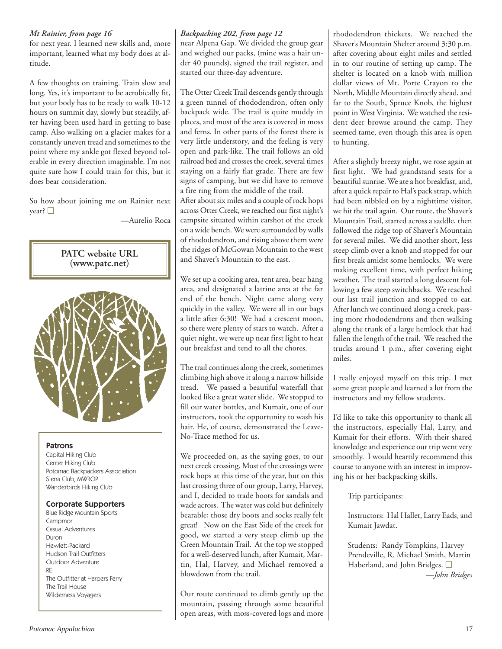### *Mt Rainier, from page 16*

for next year. I learned new skills and, more important, learned what my body does at altitude.

A few thoughts on training. Train slow and long. Yes, it's important to be aerobically fit, but your body has to be ready to walk 10-12 hours on summit day, slowly but steadily, after having been used hard in getting to base camp. Also walking on a glacier makes for a constantly uneven tread and sometimes to the point where my ankle got flexed beyond tolerable in every direction imaginable. I'm not quite sure how I could train for this, but it does bear consideration.

So how about joining me on Rainier next year? ❑

—Aurelio Roca



### Patrons

Capital Hiking Club Center Hiking Club Potomac Backpackers Association Sierra Club, MWROP Wanderbirds Hiking Club

### Corporate Supporters

Blue Ridge Mountain Sports Campmor Casual Adventures Duron Hewlett-Packard Hudson Trail Outfitters Outdoor Adventure REI The Outfitter at Harpers Ferry The Trail House Wilderness Voyagers

near Alpena Gap. We divided the group gear and weighed our packs, (mine was a hair under 40 pounds), signed the trail register, and started our three-day adventure.

The Otter Creek Trail descends gently through a green tunnel of rhododendron, often only backpack wide. The trail is quite muddy in places, and most of the area is covered in moss and ferns. In other parts of the forest there is very little understory, and the feeling is very open and park-like. The trail follows an old railroad bed and crosses the creek, several times staying on a fairly flat grade. There are few signs of camping, but we did have to remove a fire ring from the middle of the trail. After about six miles and a couple of rock hops across Otter Creek, we reached our first night's campsite situated within earshot of the creek on a wide bench. We were surrounded by walls of rhododendron, and rising above them were the ridges of McGowan Mountain to the west

We set up a cooking area, tent area, bear hang area, and designated a latrine area at the far end of the bench. Night came along very quickly in the valley. We were all in our bags a little after 6:30! We had a crescent moon, so there were plenty of stars to watch. After a quiet night, we were up near first light to heat our breakfast and tend to all the chores.

and Shaver's Mountain to the east.

The trail continues along the creek, sometimes climbing high above it along a narrow hillside tread. We passed a beautiful waterfall that looked like a great water slide. We stopped to fill our water bottles, and Kumait, one of our instructors, took the opportunity to wash his hair. He, of course, demonstrated the Leave-No-Trace method for us.

We proceeded on, as the saying goes, to our next creek crossing. Most of the crossings were rock hops at this time of the year, but on this last crossing three of our group, Larry, Harvey, and I, decided to trade boots for sandals and wade across. The water was cold but definitely bearable; those dry boots and socks really felt great! Now on the East Side of the creek for good, we started a very steep climb up the Green Mountain Trail. At the top we stopped for a well-deserved lunch, after Kumait, Martin, Hal, Harvey, and Michael removed a blowdown from the trail.

Our route continued to climb gently up the mountain, passing through some beautiful open areas, with moss-covered logs and more

*Backpacking 202, from page 12* rhododendron thickets. We reached the Shaver's Mountain Shelter around 3:30 p.m. after covering about eight miles and settled in to our routine of setting up camp. The shelter is located on a knob with million dollar views of Mt. Porte Crayon to the North, Middle Mountain directly ahead, and far to the South, Spruce Knob, the highest point in West Virginia. We watched the resident deer browse around the camp. They seemed tame, even though this area is open to hunting.

> After a slightly breezy night, we rose again at first light. We had grandstand seats for a beautiful sunrise. We ate a hot breakfast, and, after a quick repair to Hal's pack strap, which had been nibbled on by a nighttime visitor, we hit the trail again. Our route, the Shaver's Mountain Trail, started across a saddle, then followed the ridge top of Shaver's Mountain for several miles. We did another short, less steep climb over a knob and stopped for our first break amidst some hemlocks. We were making excellent time, with perfect hiking weather. The trail started a long descent following a few steep switchbacks. We reached our last trail junction and stopped to eat. After lunch we continued along a creek, passing more rhododendrons and then walking along the trunk of a large hemlock that had fallen the length of the trail. We reached the trucks around 1 p.m., after covering eight miles.

> I really enjoyed myself on this trip. I met some great people and learned a lot from the instructors and my fellow students.

> I'd like to take this opportunity to thank all the instructors, especially Hal, Larry, and Kumait for their efforts. With their shared knowledge and experience our trip went very smoothly. I would heartily recommend this course to anyone with an interest in improving his or her backpacking skills.

> > Trip participants:

Instructors: Hal Hallet, Larry Eads, and Kumait Jawdat.

Students: Randy Tompkins, Harvey Prendeville, R. Michael Smith, Martin Haberland, and John Bridges. ❑ *—John Bridges*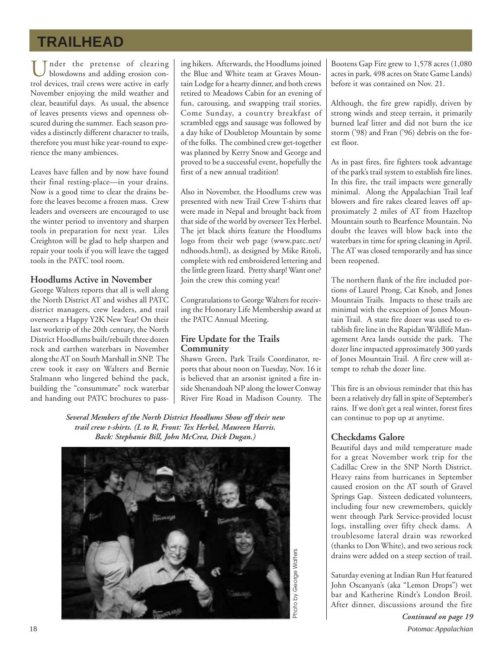## **TRAILHEAD**

Under the pretense of clearing blowdowns and adding erosion control devices, trail crews were active in early November enjoying the mild weather and clear, beautiful days. As usual, the absence of leaves presents views and openness obscured during the summer. Each season provides a distinctly different character to trails, therefore you must hike year-round to experience the many ambiences.

Leaves have fallen and by now have found their final resting-place—in your drains. Now is a good time to clear the drains before the leaves become a frozen mass. Crew leaders and overseers are encouraged to use the winter period to inventory and sharpen tools in preparation for next year. Liles Creighton will be glad to help sharpen and repair your tools if you will leave the tagged tools in the PATC tool room.

### **Hoodlums Active in November**

George Walters reports that all is well along the North District AT and wishes all PATC district managers, crew leaders, and trail overseers a Happy Y2K New Year! On their last worktrip of the 20th century, the North District Hoodlums built/rebuilt three dozen rock and earthen waterbars in November along the AT on South Marshall in SNP. The crew took it easy on Walters and Bernie Stalmann who lingered behind the pack, building the "consummate" rock waterbar and handing out PATC brochures to passing hikers. Afterwards, the Hoodlums joined the Blue and White team at Graves Mountain Lodge for a hearty dinner, and both crews retired to Meadows Cabin for an evening of fun, carousing, and swapping trail stories. Come Sunday, a country breakfast of scrambled eggs and sausage was followed by a day hike of Doubletop Mountain by some of the folks. The combined crew get-together was planned by Kerry Snow and George and proved to be a successful event, hopefully the first of a new annual tradition!

Also in November, the Hoodlums crew was presented with new Trail Crew T-shirts that were made in Nepal and brought back from that side of the world by overseer Tex Herbel. The jet black shirts feature the Hoodlums logo from their web page (www.patc.net/ ndhoods.html), as designed by Mike Ritoli, complete with red embroidered lettering and the little green lizard. Pretty sharp! Want one? Join the crew this coming year!

Congratulations to George Walters for receiving the Honorary Life Membership award at the PATC Annual Meeting.

### **Fire Update for the Trails Community**

Shawn Green, Park Trails Coordinator, reports that about noon on Tuesday, Nov. 16 it is believed that an arsonist ignited a fire inside Shenandoah NP along the lower Conway River Fire Road in Madison County. The

*Several Members of the North District Hoodlums Show off their new trail crew t-shirts. (L to R, Front: Tex Herbel, Maureen Harris. Back: Stephanie Bill, John McCrea, Dick Dugan.)*



Bootens Gap Fire grew to 1,578 acres (1,080 acres in park, 498 acres on State Game Lands) before it was contained on Nov. 21.

Although, the fire grew rapidly, driven by strong winds and steep terrain, it primarily burned leaf litter and did not burn the ice storm ('98) and Fran ('96) debris on the forest floor.

As in past fires, fire fighters took advantage of the park's trail system to establish fire lines. In this fire, the trail impacts were generally minimal. Along the Appalachian Trail leaf blowers and fire rakes cleared leaves off approximately 2 miles of AT from Hazeltop Mountain south to Bearfence Mountain. No doubt the leaves will blow back into the waterbars in time for spring cleaning in April. The AT was closed temporarily and has since been reopened.

The northern flank of the fire included portions of Laurel Prong, Cat Knob, and Jones Mountain Trails. Impacts to these trails are minimal with the exception of Jones Mountain Trail. A state fire dozer was used to establish fire line in the Rapidan Wildlife Management Area lands outside the park. The dozer line impacted approximately 300 yards of Jones Mountain Trail. A fire crew will attempt to rehab the dozer line.

This fire is an obvious reminder that this has been a relatively dry fall in spite of September's rains. If we don't get a real winter, forest fires can continue to pop up at anytime.

### **Checkdams Galore**

Beautiful days and mild temperature made for a great November work trip for the Cadillac Crew in the SNP North District. Heavy rains from hurricanes in September caused erosion on the AT south of Gravel Springs Gap. Sixteen dedicated volunteers, including four new crewmembers, quickly went through Park Service-provided locust logs, installing over fifty check dams. A troublesome lateral drain was reworked (thanks to Don White), and two serious rock drains were added on a steep section of trail.

Saturday evening at Indian Run Hut featured John Oscanyan's (aka "Lemon Drops") wet bar and Katherine Rindt's London Broil. After dinner, discussions around the fire

18 *Potomac Appalachian Continued on page 19*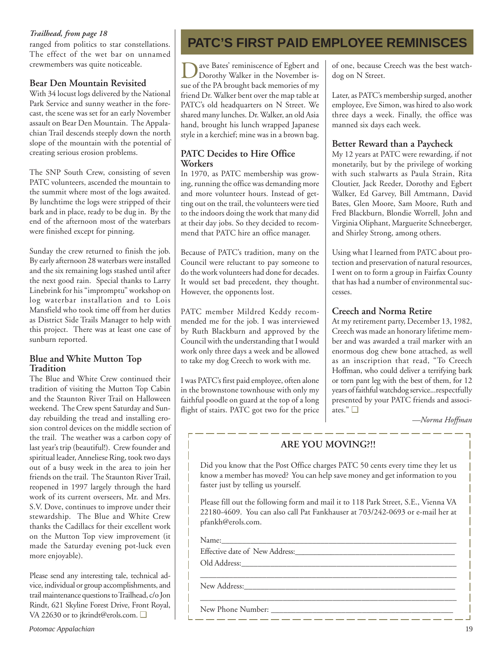### *Trailhead, from page 18*

ranged from politics to star constellations. The effect of the wet bar on unnamed crewmembers was quite noticeable.

### **Bear Den Mountain Revisited**

With 34 locust logs delivered by the National Park Service and sunny weather in the forecast, the scene was set for an early November assault on Bear Den Mountain. The Appalachian Trail descends steeply down the north slope of the mountain with the potential of creating serious erosion problems.

The SNP South Crew, consisting of seven PATC volunteers, ascended the mountain to the summit where most of the logs awaited. By lunchtime the logs were stripped of their bark and in place, ready to be dug in. By the end of the afternoon most of the waterbars were finished except for pinning.

Sunday the crew returned to finish the job. By early afternoon 28 waterbars were installed and the six remaining logs stashed until after the next good rain. Special thanks to Larry Linebrink for his "impromptu" workshop on log waterbar installation and to Lois Mansfield who took time off from her duties as District Side Trails Manager to help with this project. There was at least one case of sunburn reported.

### **Blue and White Mutton Top Tradition**

The Blue and White Crew continued their tradition of visiting the Mutton Top Cabin and the Staunton River Trail on Halloween weekend. The Crew spent Saturday and Sunday rebuilding the tread and installing erosion control devices on the middle section of the trail. The weather was a carbon copy of last year's trip (beautiful!). Crew founder and spiritual leader, Anneliese Ring, took two days out of a busy week in the area to join her friends on the trail. The Staunton River Trail, reopened in 1997 largely through the hard work of its current overseers, Mr. and Mrs. S.V. Dove, continues to improve under their stewardship. The Blue and White Crew thanks the Cadillacs for their excellent work on the Mutton Top view improvement (it made the Saturday evening pot-luck even more enjoyable).

Please send any interesting tale, technical advice, individual or group accomplishments, and trail maintenance questions to Trailhead, c/o Jon Rindt, 621 Skyline Forest Drive, Front Royal, VA 22630 or to jkrindt@erols.com. ❑

## **PATC'S FIRST PAID EMPLOYEE REMINISCES**

Dave Bates' reminiscence of Egbert and<br>Dorothy Walker in the November issue of the PA brought back memories of my friend Dr. Walker bent over the map table at PATC's old headquarters on N Street. We shared many lunches. Dr. Walker, an old Asia hand, brought his lunch wrapped Japanese style in a kerchief; mine was in a brown bag.

### **PATC Decides to Hire Office Workers**

In 1970, as PATC membership was growing, running the office was demanding more and more volunteer hours. Instead of getting out on the trail, the volunteers were tied to the indoors doing the work that many did at their day jobs. So they decided to recommend that PATC hire an office manager.

Because of PATC's tradition, many on the Council were reluctant to pay someone to do the work volunteers had done for decades. It would set bad precedent, they thought. However, the opponents lost.

PATC member Mildred Keddy recommended me for the job. I was interviewed by Ruth Blackburn and approved by the Council with the understanding that I would work only three days a week and be allowed to take my dog Creech to work with me.

I was PATC's first paid employee, often alone in the brownstone townhouse with only my faithful poodle on guard at the top of a long flight of stairs. PATC got two for the price of one, because Creech was the best watchdog on N Street.

Later, as PATC's membership surged, another employee, Eve Simon, was hired to also work three days a week. Finally, the office was manned six days each week.

### **Better Reward than a Paycheck**

My 12 years at PATC were rewarding, if not monetarily, but by the privilege of working with such stalwarts as Paula Strain, Rita Cloutier, Jack Reeder, Dorothy and Egbert Walker, Ed Garvey, Bill Amtmann, David Bates, Glen Moore, Sam Moore, Ruth and Fred Blackburn, Blondie Worrell, John and Virginia Oliphant, Marguerite Schneeberger, and Shirley Strong, among others.

Using what I learned from PATC about protection and preservation of natural resources, I went on to form a group in Fairfax County that has had a number of environmental successes.

### **Creech and Norma Retire**

At my retirement party, December 13, 1982, Creech was made an honorary lifetime member and was awarded a trail marker with an enormous dog chew bone attached, as well as an inscription that read, "To Creech Hoffman, who could deliver a terrifying bark or torn pant leg with the best of them, for 12 years of faithful watchdog service...respectfully presented by your PATC friends and associates." ❑

*—Norma Hoffman*

### **ARE YOU MOVING?!!**

Did you know that the Post Office charges PATC 50 cents every time they let us know a member has moved? You can help save money and get information to you faster just by telling us yourself.

Please fill out the following form and mail it to 118 Park Street, S.E., Vienna VA 22180-4609. You can also call Pat Fankhauser at 703/242-0693 or e-mail her at pfankh@erols.com.

\_\_\_\_\_\_\_\_\_\_\_\_\_\_\_\_\_\_\_\_\_\_\_\_\_\_\_\_\_\_\_\_\_\_\_\_\_\_\_\_\_\_\_\_\_\_\_\_\_\_\_\_\_\_\_\_\_\_\_\_\_\_

Name:

Effective date of New Address:\_\_\_\_\_\_\_\_\_\_\_\_\_\_\_\_\_\_\_\_\_\_\_\_\_\_\_\_\_\_\_\_\_\_\_\_\_\_\_ Old Address:

New Address:

New Phone Number:  $\frac{1}{\sqrt{1-\frac{1}{2}}}\frac{1}{\sqrt{1-\frac{1}{2}}}\frac{1}{\sqrt{1-\frac{1}{2}}}\frac{1}{\sqrt{1-\frac{1}{2}}}\frac{1}{\sqrt{1-\frac{1}{2}}}\frac{1}{\sqrt{1-\frac{1}{2}}}\frac{1}{\sqrt{1-\frac{1}{2}}}\frac{1}{\sqrt{1-\frac{1}{2}}}\frac{1}{\sqrt{1-\frac{1}{2}}}\frac{1}{\sqrt{1-\frac{1}{2}}}\frac{1}{\sqrt{1-\frac{1}{2}}}\frac{1}{\sqrt{1-\frac{1}{2}}}\frac{1}{\sqrt{1-\$